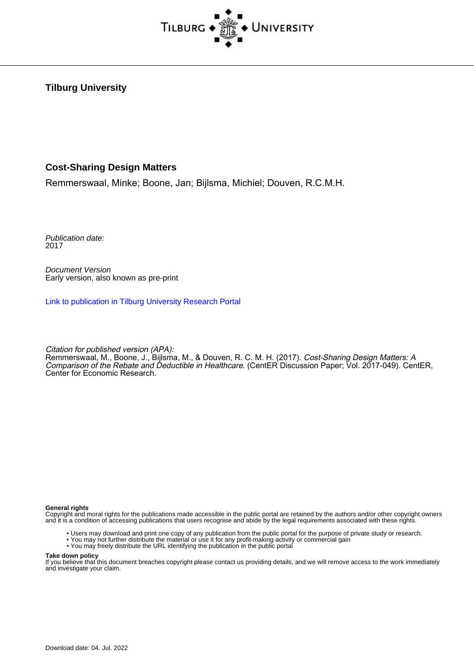

**Tilburg University**

# **Cost-Sharing Design Matters**

Remmerswaal, Minke; Boone, Jan; Bijlsma, Michiel; Douven, R.C.M.H.

Publication date: 2017

Document Version Early version, also known as pre-print

[Link to publication in Tilburg University Research Portal](https://research.tilburguniversity.edu/en/publications/624251d4-89fb-4c0b-8dd1-f0d3d949e591)

Citation for published version (APA):

Remmerswaal, M., Boone, J., Bijlsma, M., & Douven, R. C. M. H. (2017). *Cost-Sharing Design Matters: A* Comparison of the Rebate and Deductible in Healthcare. (CentER Discussion Paper; Vol. 2017-049). CentER, Center for Economic Research.

#### **General rights**

Copyright and moral rights for the publications made accessible in the public portal are retained by the authors and/or other copyright owners and it is a condition of accessing publications that users recognise and abide by the legal requirements associated with these rights.

- Users may download and print one copy of any publication from the public portal for the purpose of private study or research.
- You may not further distribute the material or use it for any profit-making activity or commercial gain
- You may freely distribute the URL identifying the publication in the public portal

#### **Take down policy**

If you believe that this document breaches copyright please contact us providing details, and we will remove access to the work immediately and investigate your claim.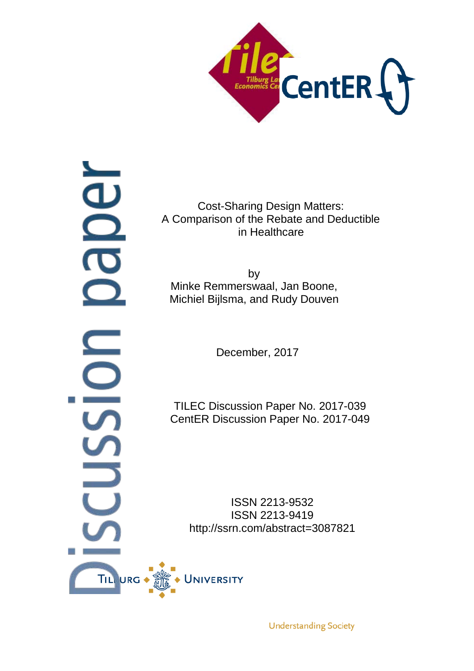

**NBCD**  $\mathbb{R}^2$  $\overline{\mathsf{S}}$ SU **UNIVERSITY TILI URG** 

Cost-Sharing Design Matters: A Comparison of the Rebate and Deductible in Healthcare

by Minke Remmerswaal, Jan Boone, Michiel Bijlsma, and Rudy Douven

December, 2017

TILEC Discussion Paper No. 2017-039 CentER Discussion Paper No. 2017-049

ISSN 2213-9532 ISSN 2213-9419 http://ssrn.com/abstract=3087821

**Understanding Society**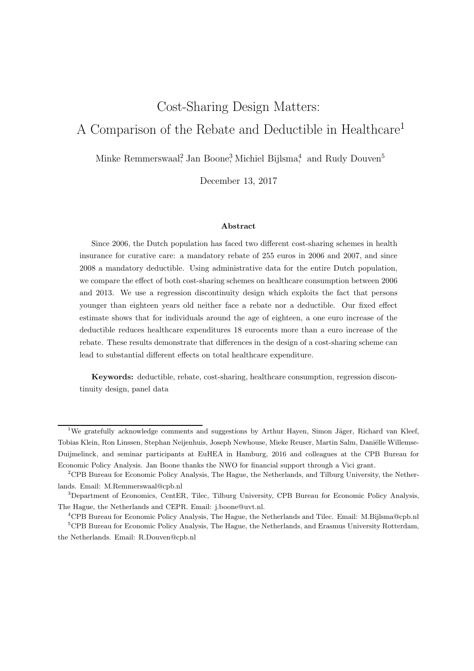# Cost-Sharing Design Matters: A Comparison of the Rebate and Deductible in Healthcare<sup>1</sup>

Minke Remmerswaal<sup>2</sup>, Jan Boone<sup>3</sup>, Michiel Bijlsma<sup>4</sup>, and Rudy Douven<sup>5</sup>

December 13, 2017

#### Abstract

Since 2006, the Dutch population has faced two different cost-sharing schemes in health insurance for curative care: a mandatory rebate of 255 euros in 2006 and 2007, and since 2008 a mandatory deductible. Using administrative data for the entire Dutch population, we compare the effect of both cost-sharing schemes on healthcare consumption between 2006 and 2013. We use a regression discontinuity design which exploits the fact that persons younger than eighteen years old neither face a rebate nor a deductible. Our fixed effect estimate shows that for individuals around the age of eighteen, a one euro increase of the deductible reduces healthcare expenditures 18 eurocents more than a euro increase of the rebate. These results demonstrate that differences in the design of a cost-sharing scheme can lead to substantial different effects on total healthcare expenditure.

Keywords: deductible, rebate, cost-sharing, healthcare consumption, regression discontinuity design, panel data

<sup>&</sup>lt;sup>1</sup>We gratefully acknowledge comments and suggestions by Arthur Hayen, Simon Jäger, Richard van Kleef, Tobias Klein, Ron Linssen, Stephan Neijenhuis, Joseph Newhouse, Mieke Reuser, Martin Salm, Daniëlle Willemse-Duijmelinck, and seminar participants at EuHEA in Hamburg, 2016 and colleagues at the CPB Bureau for Economic Policy Analysis. Jan Boone thanks the NWO for financial support through a Vici grant.

<sup>&</sup>lt;sup>2</sup>CPB Bureau for Economic Policy Analysis, The Hague, the Netherlands, and Tilburg University, the Netherlands. Email: M.Remmerswaal@cpb.nl

<sup>3</sup>Department of Economics, CentER, Tilec, Tilburg University, CPB Bureau for Economic Policy Analysis, The Hague, the Netherlands and CEPR. Email: j.boone@uvt.nl.

<sup>4</sup>CPB Bureau for Economic Policy Analysis, The Hague, the Netherlands and Tilec. Email: M.Bijlsma@cpb.nl

<sup>5</sup>CPB Bureau for Economic Policy Analysis, The Hague, the Netherlands, and Erasmus University Rotterdam, the Netherlands. Email: R.Douven@cpb.nl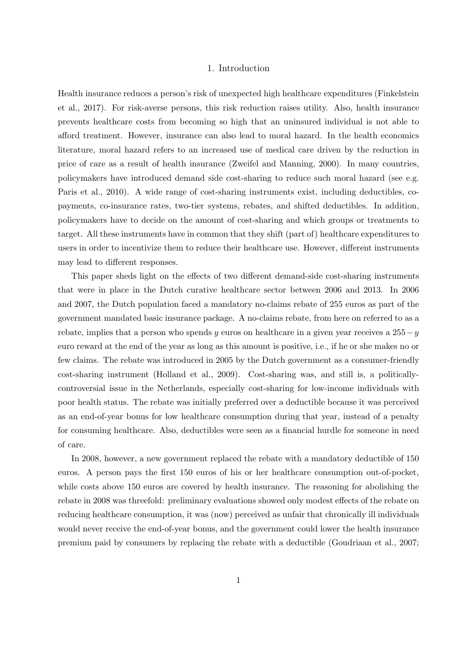#### 1. Introduction

Health insurance reduces a person's risk of unexpected high healthcare expenditures (Finkelstein et al., 2017). For risk-averse persons, this risk reduction raises utility. Also, health insurance prevents healthcare costs from becoming so high that an uninsured individual is not able to afford treatment. However, insurance can also lead to moral hazard. In the health economics literature, moral hazard refers to an increased use of medical care driven by the reduction in price of care as a result of health insurance (Zweifel and Manning, 2000). In many countries, policymakers have introduced demand side cost-sharing to reduce such moral hazard (see e.g. Paris et al., 2010). A wide range of cost-sharing instruments exist, including deductibles, copayments, co-insurance rates, two-tier systems, rebates, and shifted deductibles. In addition, policymakers have to decide on the amount of cost-sharing and which groups or treatments to target. All these instruments have in common that they shift (part of) healthcare expenditures to users in order to incentivize them to reduce their healthcare use. However, different instruments may lead to different responses.

This paper sheds light on the effects of two different demand-side cost-sharing instruments that were in place in the Dutch curative healthcare sector between 2006 and 2013. In 2006 and 2007, the Dutch population faced a mandatory no-claims rebate of 255 euros as part of the government mandated basic insurance package. A no-claims rebate, from here on referred to as a rebate, implies that a person who spends y euros on healthcare in a given year receives a  $255-y$ euro reward at the end of the year as long as this amount is positive, i.e., if he or she makes no or few claims. The rebate was introduced in 2005 by the Dutch government as a consumer-friendly cost-sharing instrument (Holland et al., 2009). Cost-sharing was, and still is, a politicallycontroversial issue in the Netherlands, especially cost-sharing for low-income individuals with poor health status. The rebate was initially preferred over a deductible because it was perceived as an end-of-year bonus for low healthcare consumption during that year, instead of a penalty for consuming healthcare. Also, deductibles were seen as a financial hurdle for someone in need of care.

In 2008, however, a new government replaced the rebate with a mandatory deductible of 150 euros. A person pays the first 150 euros of his or her healthcare consumption out-of-pocket, while costs above 150 euros are covered by health insurance. The reasoning for abolishing the rebate in 2008 was threefold: preliminary evaluations showed only modest effects of the rebate on reducing healthcare consumption, it was (now) perceived as unfair that chronically ill individuals would never receive the end-of-year bonus, and the government could lower the health insurance premium paid by consumers by replacing the rebate with a deductible (Goudriaan et al., 2007;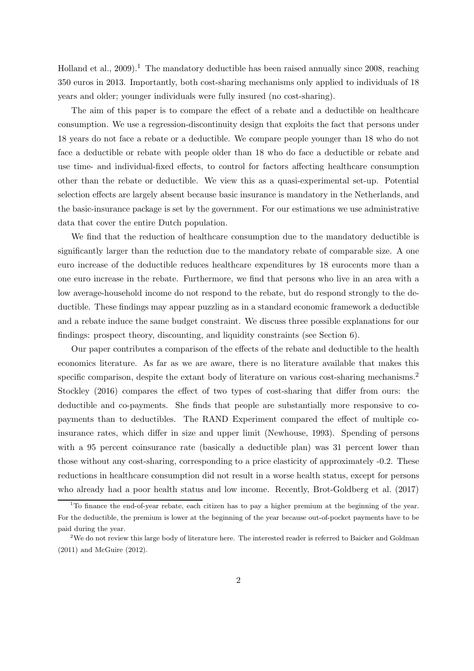Holland et al.,  $2009$ ).<sup>1</sup> The mandatory deductible has been raised annually since 2008, reaching 350 euros in 2013. Importantly, both cost-sharing mechanisms only applied to individuals of 18 years and older; younger individuals were fully insured (no cost-sharing).

The aim of this paper is to compare the effect of a rebate and a deductible on healthcare consumption. We use a regression-discontinuity design that exploits the fact that persons under 18 years do not face a rebate or a deductible. We compare people younger than 18 who do not face a deductible or rebate with people older than 18 who do face a deductible or rebate and use time- and individual-fixed effects, to control for factors affecting healthcare consumption other than the rebate or deductible. We view this as a quasi-experimental set-up. Potential selection effects are largely absent because basic insurance is mandatory in the Netherlands, and the basic-insurance package is set by the government. For our estimations we use administrative data that cover the entire Dutch population.

We find that the reduction of healthcare consumption due to the mandatory deductible is significantly larger than the reduction due to the mandatory rebate of comparable size. A one euro increase of the deductible reduces healthcare expenditures by 18 eurocents more than a one euro increase in the rebate. Furthermore, we find that persons who live in an area with a low average-household income do not respond to the rebate, but do respond strongly to the deductible. These findings may appear puzzling as in a standard economic framework a deductible and a rebate induce the same budget constraint. We discuss three possible explanations for our findings: prospect theory, discounting, and liquidity constraints (see Section 6).

Our paper contributes a comparison of the effects of the rebate and deductible to the health economics literature. As far as we are aware, there is no literature available that makes this specific comparison, despite the extant body of literature on various cost-sharing mechanisms.<sup>2</sup> Stockley (2016) compares the effect of two types of cost-sharing that differ from ours: the deductible and co-payments. She finds that people are substantially more responsive to copayments than to deductibles. The RAND Experiment compared the effect of multiple coinsurance rates, which differ in size and upper limit (Newhouse, 1993). Spending of persons with a 95 percent coinsurance rate (basically a deductible plan) was 31 percent lower than those without any cost-sharing, corresponding to a price elasticity of approximately -0.2. These reductions in healthcare consumption did not result in a worse health status, except for persons who already had a poor health status and low income. Recently, Brot-Goldberg et al. (2017)

<sup>&</sup>lt;sup>1</sup>To finance the end-of-year rebate, each citizen has to pay a higher premium at the beginning of the year. For the deductible, the premium is lower at the beginning of the year because out-of-pocket payments have to be paid during the year.

<sup>2</sup>We do not review this large body of literature here. The interested reader is referred to Baicker and Goldman (2011) and McGuire (2012).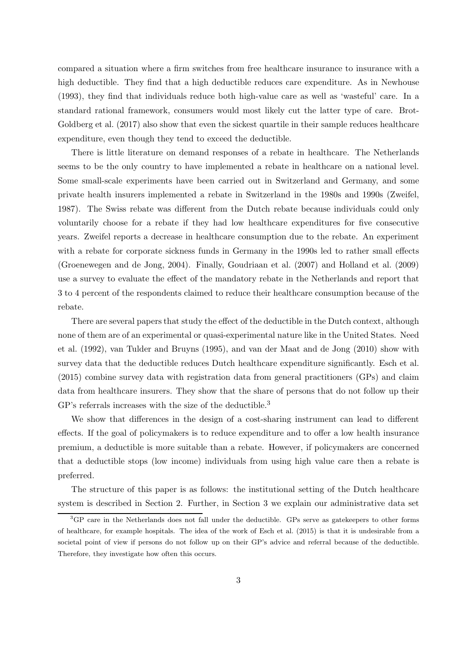compared a situation where a firm switches from free healthcare insurance to insurance with a high deductible. They find that a high deductible reduces care expenditure. As in Newhouse (1993), they find that individuals reduce both high-value care as well as 'wasteful' care. In a standard rational framework, consumers would most likely cut the latter type of care. Brot-Goldberg et al. (2017) also show that even the sickest quartile in their sample reduces healthcare expenditure, even though they tend to exceed the deductible.

There is little literature on demand responses of a rebate in healthcare. The Netherlands seems to be the only country to have implemented a rebate in healthcare on a national level. Some small-scale experiments have been carried out in Switzerland and Germany, and some private health insurers implemented a rebate in Switzerland in the 1980s and 1990s (Zweifel, 1987). The Swiss rebate was different from the Dutch rebate because individuals could only voluntarily choose for a rebate if they had low healthcare expenditures for five consecutive years. Zweifel reports a decrease in healthcare consumption due to the rebate. An experiment with a rebate for corporate sickness funds in Germany in the 1990s led to rather small effects (Groenewegen and de Jong, 2004). Finally, Goudriaan et al. (2007) and Holland et al. (2009) use a survey to evaluate the effect of the mandatory rebate in the Netherlands and report that 3 to 4 percent of the respondents claimed to reduce their healthcare consumption because of the rebate.

There are several papers that study the effect of the deductible in the Dutch context, although none of them are of an experimental or quasi-experimental nature like in the United States. Need et al. (1992), van Tulder and Bruyns (1995), and van der Maat and de Jong (2010) show with survey data that the deductible reduces Dutch healthcare expenditure significantly. Esch et al. (2015) combine survey data with registration data from general practitioners (GPs) and claim data from healthcare insurers. They show that the share of persons that do not follow up their GP's referrals increases with the size of the deductible.<sup>3</sup>

We show that differences in the design of a cost-sharing instrument can lead to different effects. If the goal of policymakers is to reduce expenditure and to offer a low health insurance premium, a deductible is more suitable than a rebate. However, if policymakers are concerned that a deductible stops (low income) individuals from using high value care then a rebate is preferred.

The structure of this paper is as follows: the institutional setting of the Dutch healthcare system is described in Section 2. Further, in Section 3 we explain our administrative data set

<sup>&</sup>lt;sup>3</sup>GP care in the Netherlands does not fall under the deductible. GPs serve as gatekeepers to other forms of healthcare, for example hospitals. The idea of the work of Esch et al. (2015) is that it is undesirable from a societal point of view if persons do not follow up on their GP's advice and referral because of the deductible. Therefore, they investigate how often this occurs.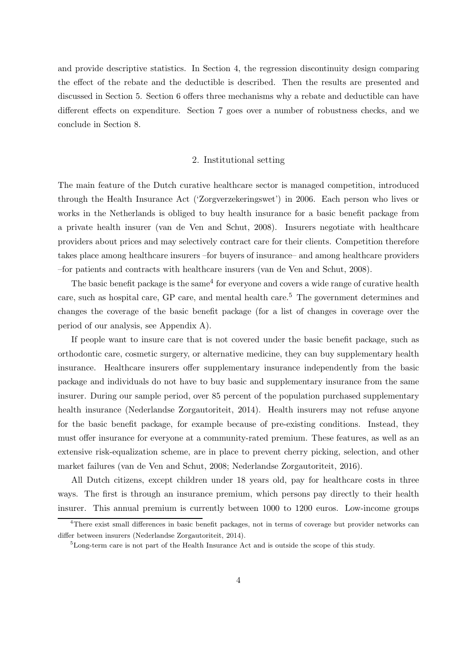and provide descriptive statistics. In Section 4, the regression discontinuity design comparing the effect of the rebate and the deductible is described. Then the results are presented and discussed in Section 5. Section 6 offers three mechanisms why a rebate and deductible can have different effects on expenditure. Section 7 goes over a number of robustness checks, and we conclude in Section 8.

## 2. Institutional setting

The main feature of the Dutch curative healthcare sector is managed competition, introduced through the Health Insurance Act ('Zorgverzekeringswet') in 2006. Each person who lives or works in the Netherlands is obliged to buy health insurance for a basic benefit package from a private health insurer (van de Ven and Schut, 2008). Insurers negotiate with healthcare providers about prices and may selectively contract care for their clients. Competition therefore takes place among healthcare insurers –for buyers of insurance– and among healthcare providers –for patients and contracts with healthcare insurers (van de Ven and Schut, 2008).

The basic benefit package is the same<sup>4</sup> for everyone and covers a wide range of curative health care, such as hospital care, GP care, and mental health care.<sup>5</sup> The government determines and changes the coverage of the basic benefit package (for a list of changes in coverage over the period of our analysis, see Appendix A).

If people want to insure care that is not covered under the basic benefit package, such as orthodontic care, cosmetic surgery, or alternative medicine, they can buy supplementary health insurance. Healthcare insurers offer supplementary insurance independently from the basic package and individuals do not have to buy basic and supplementary insurance from the same insurer. During our sample period, over 85 percent of the population purchased supplementary health insurance (Nederlandse Zorgautoriteit, 2014). Health insurers may not refuse anyone for the basic benefit package, for example because of pre-existing conditions. Instead, they must offer insurance for everyone at a community-rated premium. These features, as well as an extensive risk-equalization scheme, are in place to prevent cherry picking, selection, and other market failures (van de Ven and Schut, 2008; Nederlandse Zorgautoriteit, 2016).

All Dutch citizens, except children under 18 years old, pay for healthcare costs in three ways. The first is through an insurance premium, which persons pay directly to their health insurer. This annual premium is currently between 1000 to 1200 euros. Low-income groups

<sup>&</sup>lt;sup>4</sup>There exist small differences in basic benefit packages, not in terms of coverage but provider networks can differ between insurers (Nederlandse Zorgautoriteit, 2014).

<sup>&</sup>lt;sup>5</sup>Long-term care is not part of the Health Insurance Act and is outside the scope of this study.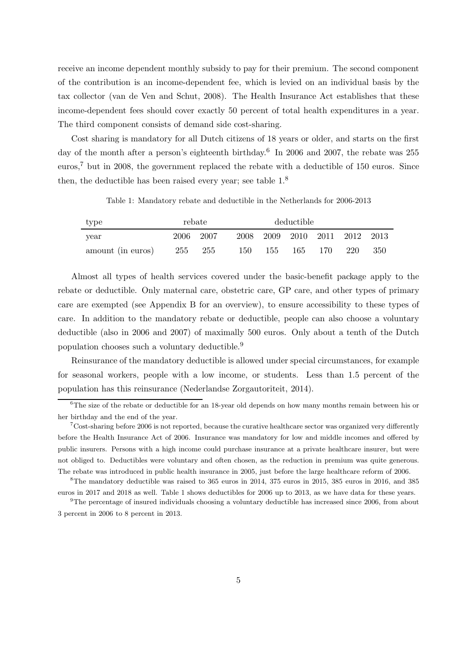receive an income dependent monthly subsidy to pay for their premium. The second component of the contribution is an income-dependent fee, which is levied on an individual basis by the tax collector (van de Ven and Schut, 2008). The Health Insurance Act establishes that these income-dependent fees should cover exactly 50 percent of total health expenditures in a year. The third component consists of demand side cost-sharing.

Cost sharing is mandatory for all Dutch citizens of 18 years or older, and starts on the first day of the month after a person's eighteenth birthday.<sup>6</sup> In 2006 and 2007, the rebate was 255 euros,<sup>7</sup> but in 2008, the government replaced the rebate with a deductible of 150 euros. Since then, the deductible has been raised every year; see table 1.<sup>8</sup>

Table 1: Mandatory rebate and deductible in the Netherlands for 2006-2013

| type              |         | rebate | deductible                    |  |  |             |      |
|-------------------|---------|--------|-------------------------------|--|--|-------------|------|
| year              | 2006-   | - 2007 | 2008 2009 2010 2011 2012 2013 |  |  |             |      |
| amount (in euros) | 255 255 |        | 150 155                       |  |  | 165 170 220 | -350 |

Almost all types of health services covered under the basic-benefit package apply to the rebate or deductible. Only maternal care, obstetric care, GP care, and other types of primary care are exempted (see Appendix B for an overview), to ensure accessibility to these types of care. In addition to the mandatory rebate or deductible, people can also choose a voluntary deductible (also in 2006 and 2007) of maximally 500 euros. Only about a tenth of the Dutch population chooses such a voluntary deductible.<sup>9</sup>

Reinsurance of the mandatory deductible is allowed under special circumstances, for example for seasonal workers, people with a low income, or students. Less than 1.5 percent of the population has this reinsurance (Nederlandse Zorgautoriteit, 2014).

<sup>&</sup>lt;sup>6</sup>The size of the rebate or deductible for an 18-year old depends on how many months remain between his or her birthday and the end of the year.

<sup>7</sup>Cost-sharing before 2006 is not reported, because the curative healthcare sector was organized very differently before the Health Insurance Act of 2006. Insurance was mandatory for low and middle incomes and offered by public insurers. Persons with a high income could purchase insurance at a private healthcare insurer, but were not obliged to. Deductibles were voluntary and often chosen, as the reduction in premium was quite generous. The rebate was introduced in public health insurance in 2005, just before the large healthcare reform of 2006.

<sup>8</sup>The mandatory deductible was raised to 365 euros in 2014, 375 euros in 2015, 385 euros in 2016, and 385 euros in 2017 and 2018 as well. Table 1 shows deductibles for 2006 up to 2013, as we have data for these years.

<sup>&</sup>lt;sup>9</sup>The percentage of insured individuals choosing a voluntary deductible has increased since 2006, from about 3 percent in 2006 to 8 percent in 2013.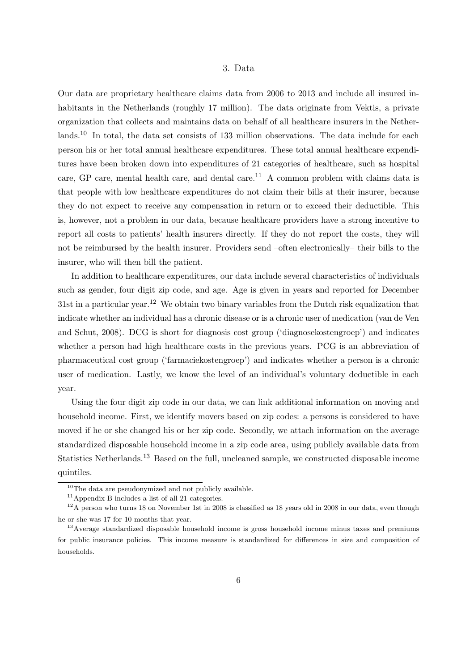#### 3. Data

Our data are proprietary healthcare claims data from 2006 to 2013 and include all insured inhabitants in the Netherlands (roughly 17 million). The data originate from Vektis, a private organization that collects and maintains data on behalf of all healthcare insurers in the Netherlands.<sup>10</sup> In total, the data set consists of 133 million observations. The data include for each person his or her total annual healthcare expenditures. These total annual healthcare expenditures have been broken down into expenditures of 21 categories of healthcare, such as hospital care, GP care, mental health care, and dental care.<sup>11</sup> A common problem with claims data is that people with low healthcare expenditures do not claim their bills at their insurer, because they do not expect to receive any compensation in return or to exceed their deductible. This is, however, not a problem in our data, because healthcare providers have a strong incentive to report all costs to patients' health insurers directly. If they do not report the costs, they will not be reimbursed by the health insurer. Providers send –often electronically– their bills to the insurer, who will then bill the patient.

In addition to healthcare expenditures, our data include several characteristics of individuals such as gender, four digit zip code, and age. Age is given in years and reported for December 31st in a particular year.<sup>12</sup> We obtain two binary variables from the Dutch risk equalization that indicate whether an individual has a chronic disease or is a chronic user of medication (van de Ven and Schut, 2008). DCG is short for diagnosis cost group ('diagnosekostengroep') and indicates whether a person had high healthcare costs in the previous years. PCG is an abbreviation of pharmaceutical cost group ('farmaciekostengroep') and indicates whether a person is a chronic user of medication. Lastly, we know the level of an individual's voluntary deductible in each year.

Using the four digit zip code in our data, we can link additional information on moving and household income. First, we identify movers based on zip codes: a persons is considered to have moved if he or she changed his or her zip code. Secondly, we attach information on the average standardized disposable household income in a zip code area, using publicly available data from Statistics Netherlands.<sup>13</sup> Based on the full, uncleaned sample, we constructed disposable income quintiles.

 $10$ The data are pseudonymized and not publicly available.

 $11$ Appendix B includes a list of all 21 categories.

<sup>&</sup>lt;sup>12</sup>A person who turns 18 on November 1st in 2008 is classified as 18 years old in 2008 in our data, even though he or she was 17 for 10 months that year.

<sup>&</sup>lt;sup>13</sup>Average standardized disposable household income is gross household income minus taxes and premiums for public insurance policies. This income measure is standardized for differences in size and composition of households.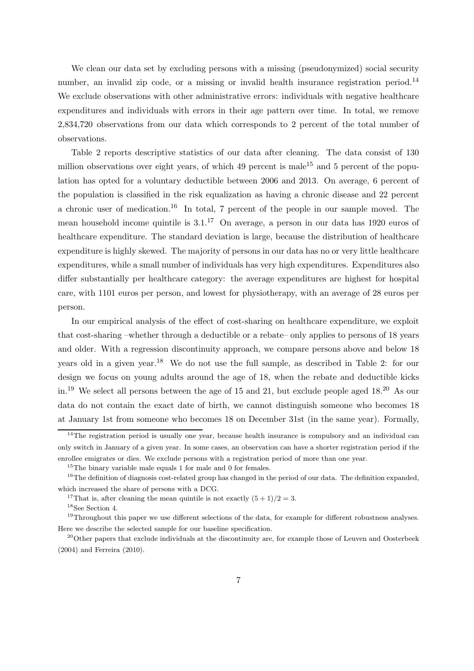We clean our data set by excluding persons with a missing (pseudonymized) social security number, an invalid zip code, or a missing or invalid health insurance registration period.<sup>14</sup> We exclude observations with other administrative errors: individuals with negative healthcare expenditures and individuals with errors in their age pattern over time. In total, we remove 2,834,720 observations from our data which corresponds to 2 percent of the total number of observations.

Table 2 reports descriptive statistics of our data after cleaning. The data consist of 130 million observations over eight years, of which 49 percent is male<sup>15</sup> and 5 percent of the population has opted for a voluntary deductible between 2006 and 2013. On average, 6 percent of the population is classified in the risk equalization as having a chronic disease and 22 percent a chronic user of medication.<sup>16</sup> In total, 7 percent of the people in our sample moved. The mean household income quintile is  $3.1^{17}$  On average, a person in our data has 1920 euros of healthcare expenditure. The standard deviation is large, because the distribution of healthcare expenditure is highly skewed. The majority of persons in our data has no or very little healthcare expenditures, while a small number of individuals has very high expenditures. Expenditures also differ substantially per healthcare category: the average expenditures are highest for hospital care, with 1101 euros per person, and lowest for physiotherapy, with an average of 28 euros per person.

In our empirical analysis of the effect of cost-sharing on healthcare expenditure, we exploit that cost-sharing –whether through a deductible or a rebate– only applies to persons of 18 years and older. With a regression discontinuity approach, we compare persons above and below 18 years old in a given year.<sup>18</sup> We do not use the full sample, as described in Table 2: for our design we focus on young adults around the age of 18, when the rebate and deductible kicks in.<sup>19</sup> We select all persons between the age of 15 and 21, but exclude people aged  $18^{20}$  As our data do not contain the exact date of birth, we cannot distinguish someone who becomes 18 at January 1st from someone who becomes 18 on December 31st (in the same year). Formally,

<sup>&</sup>lt;sup>14</sup>The registration period is usually one year, because health insurance is compulsory and an individual can only switch in January of a given year. In some cases, an observation can have a shorter registration period if the enrollee emigrates or dies. We exclude persons with a registration period of more than one year.

 $15$ The binary variable male equals 1 for male and 0 for females.

 $16$ The definition of diagnosis cost-related group has changed in the period of our data. The definition expanded, which increased the share of persons with a DCG.

<sup>&</sup>lt;sup>17</sup>That is, after cleaning the mean quintile is not exactly  $(5 + 1)/2 = 3$ .

<sup>18</sup>See Section 4.

<sup>&</sup>lt;sup>19</sup>Throughout this paper we use different selections of the data, for example for different robustness analyses. Here we describe the selected sample for our baseline specification.

<sup>&</sup>lt;sup>20</sup>Other papers that exclude individuals at the discontinuity are, for example those of Leuven and Oosterbeek (2004) and Ferreira (2010).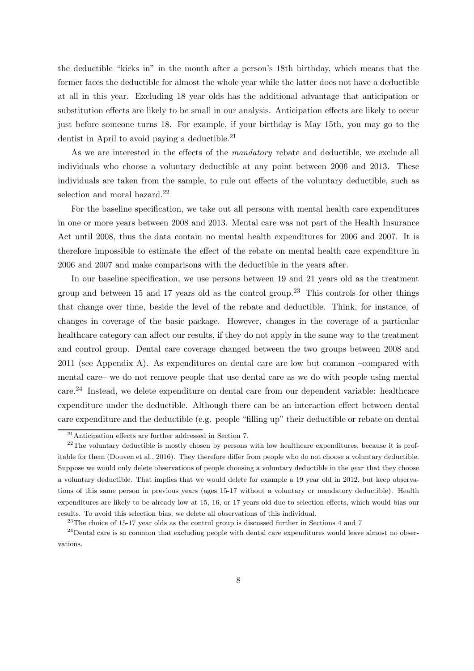the deductible "kicks in" in the month after a person's 18th birthday, which means that the former faces the deductible for almost the whole year while the latter does not have a deductible at all in this year. Excluding 18 year olds has the additional advantage that anticipation or substitution effects are likely to be small in our analysis. Anticipation effects are likely to occur just before someone turns 18. For example, if your birthday is May 15th, you may go to the dentist in April to avoid paying a deductible. $2<sup>1</sup>$ 

As we are interested in the effects of the mandatory rebate and deductible, we exclude all individuals who choose a voluntary deductible at any point between 2006 and 2013. These individuals are taken from the sample, to rule out effects of the voluntary deductible, such as selection and moral hazard.<sup>22</sup>

For the baseline specification, we take out all persons with mental health care expenditures in one or more years between 2008 and 2013. Mental care was not part of the Health Insurance Act until 2008, thus the data contain no mental health expenditures for 2006 and 2007. It is therefore impossible to estimate the effect of the rebate on mental health care expenditure in 2006 and 2007 and make comparisons with the deductible in the years after.

In our baseline specification, we use persons between 19 and 21 years old as the treatment group and between 15 and 17 years old as the control group.<sup>23</sup> This controls for other things that change over time, beside the level of the rebate and deductible. Think, for instance, of changes in coverage of the basic package. However, changes in the coverage of a particular healthcare category can affect our results, if they do not apply in the same way to the treatment and control group. Dental care coverage changed between the two groups between 2008 and 2011 (see Appendix A). As expenditures on dental care are low but common –compared with mental care– we do not remove people that use dental care as we do with people using mental care.<sup>24</sup> Instead, we delete expenditure on dental care from our dependent variable: healthcare expenditure under the deductible. Although there can be an interaction effect between dental care expenditure and the deductible (e.g. people "filling up" their deductible or rebate on dental

<sup>21</sup>Anticipation effects are further addressed in Section 7.

<sup>&</sup>lt;sup>22</sup>The voluntary deductible is mostly chosen by persons with low healthcare expenditures, because it is profitable for them (Douven et al., 2016). They therefore differ from people who do not choose a voluntary deductible. Suppose we would only delete observations of people choosing a voluntary deductible in the *year* that they choose a voluntary deductible. That implies that we would delete for example a 19 year old in 2012, but keep observations of this same person in previous years (ages 15-17 without a voluntary or mandatory deductible). Health expenditures are likely to be already low at 15, 16, or 17 years old due to selection effects, which would bias our results. To avoid this selection bias, we delete all observations of this individual.

 $23$ The choice of 15-17 year olds as the control group is discussed further in Sections 4 and 7

 $^{24}$ Dental care is so common that excluding people with dental care expenditures would leave almost no observations.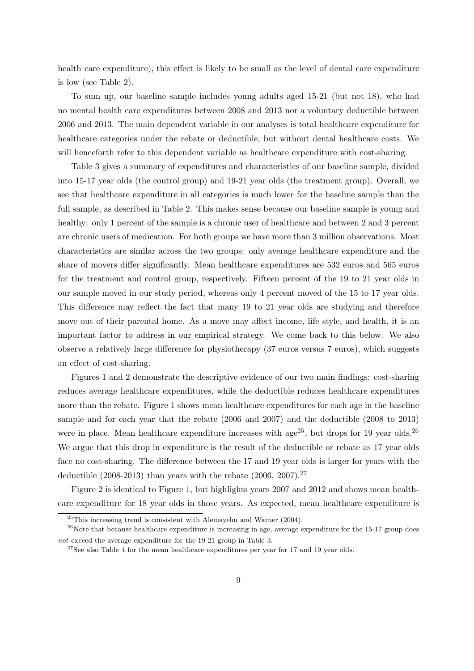health care expenditure), this effect is likely to be small as the level of dental care expenditure is low (see Table 2).

To sum up, our baseline sample includes young adults aged 15-21 (but not 18), who had no mental health care expenditures between 2008 and 2013 nor a voluntary deductible between 2006 and 2013. The main dependent variable in our analyses is total healthcare expenditure for healthcare categories under the rebate or deductible, but without dental healthcare costs. We will henceforth refer to this dependent variable as healthcare expenditure with cost-sharing.

Table 3 gives a summary of expenditures and characteristics of our baseline sample, divided into 15-17 year olds (the control group) and 19-21 year olds (the treatment group). Overall, we see that healthcare expenditure in all categories is much lower for the baseline sample than the full sample, as described in Table 2. This makes sense because our baseline sample is young and healthy: only 1 percent of the sample is a chronic user of healthcare and between 2 and 3 percent are chronic users of medication. For both groups we have more than 3 million observations. Most characteristics are similar across the two groups: only average healthcare expenditure and the share of movers differ significantly. Mean healthcare expenditures are 532 euros and 565 euros for the treatment and control group, respectively. Fifteen percent of the 19 to 21 year olds in our sample moved in our study period, whereas only 4 percent moved of the 15 to 17 year olds. This difference may reflect the fact that many 19 to 21 year olds are studying and therefore move out of their parental home. As a move may affect income, life style, and health, it is an important factor to address in our empirical strategy. We come back to this below. We also observe a relatively large difference for physiotherapy (37 euros versus 7 euros), which suggests an effect of cost-sharing.

Figures 1 and 2 demonstrate the descriptive evidence of our two main findings: cost-sharing reduces average healthcare expenditures, while the deductible reduces healthcare expenditures more than the rebate. Figure 1 shows mean healthcare expenditures for each age in the baseline sample and for each year that the rebate (2006 and 2007) and the deductible (2008 to 2013) were in place. Mean healthcare expenditure increases with age<sup>25</sup>, but drops for 19 year olds.<sup>26</sup> We argue that this drop in expenditure is the result of the deductible or rebate as 17 year olds face no cost-sharing. The difference between the 17 and 19 year olds is larger for years with the deductible (2008-2013) than years with the rebate (2006, 2007).<sup>27</sup>

Figure 2 is identical to Figure 1, but highlights years 2007 and 2012 and shows mean healthcare expenditure for 18 year olds in those years. As expected, mean healthcare expenditure is

 $^{25}$ This increasing trend is consistent with Alemayehu and Warner (2004).

<sup>&</sup>lt;sup>26</sup>Note that because healthcare expenditure is increasing in age, average expenditure for the 15-17 group does not exceed the average expenditure for the 19-21 group in Table 3.

 $27$ See also Table 4 for the mean healthcare expenditures per year for 17 and 19 year olds.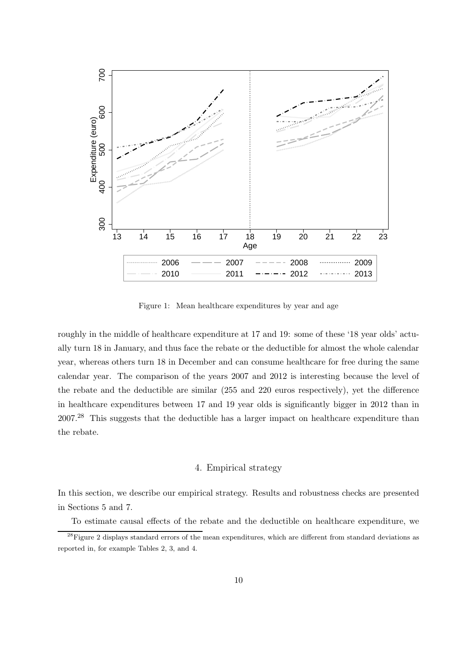

Figure 1: Mean healthcare expenditures by year and age

roughly in the middle of healthcare expenditure at 17 and 19: some of these '18 year olds' actually turn 18 in January, and thus face the rebate or the deductible for almost the whole calendar year, whereas others turn 18 in December and can consume healthcare for free during the same calendar year. The comparison of the years 2007 and 2012 is interesting because the level of the rebate and the deductible are similar (255 and 220 euros respectively), yet the difference in healthcare expenditures between 17 and 19 year olds is significantly bigger in 2012 than in 2007.<sup>28</sup> This suggests that the deductible has a larger impact on healthcare expenditure than the rebate.

## 4. Empirical strategy

In this section, we describe our empirical strategy. Results and robustness checks are presented in Sections 5 and 7.

To estimate causal effects of the rebate and the deductible on healthcare expenditure, we

 $^{28}$ Figure 2 displays standard errors of the mean expenditures, which are different from standard deviations as reported in, for example Tables 2, 3, and 4.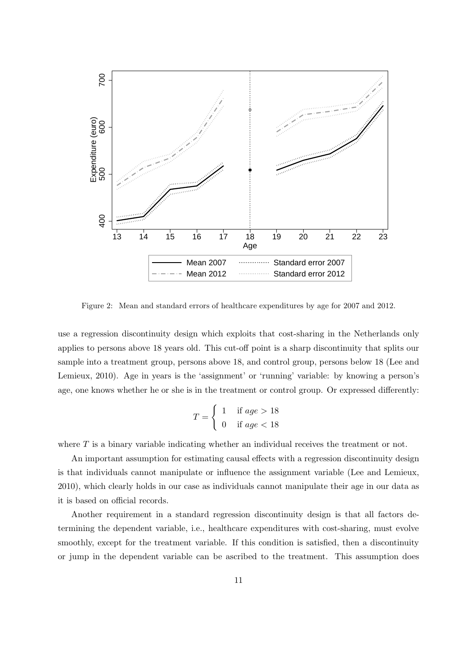

Figure 2: Mean and standard errors of healthcare expenditures by age for 2007 and 2012.

use a regression discontinuity design which exploits that cost-sharing in the Netherlands only applies to persons above 18 years old. This cut-off point is a sharp discontinuity that splits our sample into a treatment group, persons above 18, and control group, persons below 18 (Lee and Lemieux, 2010). Age in years is the 'assignment' or 'running' variable: by knowing a person's age, one knows whether he or she is in the treatment or control group. Or expressed differently:

$$
T = \begin{cases} 1 & \text{if } age > 18 \\ 0 & \text{if } age < 18 \end{cases}
$$

where  $T$  is a binary variable indicating whether an individual receives the treatment or not.

An important assumption for estimating causal effects with a regression discontinuity design is that individuals cannot manipulate or influence the assignment variable (Lee and Lemieux, 2010), which clearly holds in our case as individuals cannot manipulate their age in our data as it is based on official records.

Another requirement in a standard regression discontinuity design is that all factors determining the dependent variable, i.e., healthcare expenditures with cost-sharing, must evolve smoothly, except for the treatment variable. If this condition is satisfied, then a discontinuity or jump in the dependent variable can be ascribed to the treatment. This assumption does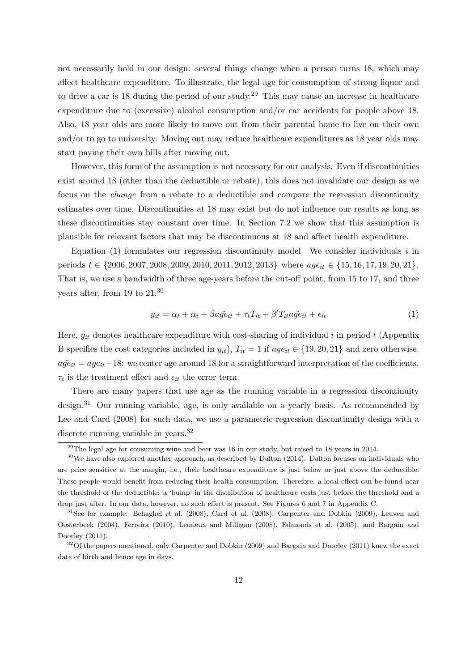not necessarily hold in our design: several things change when a person turns 18, which may affect healthcare expenditure. To illustrate, the legal age for consumption of strong liquor and to drive a car is 18 during the period of our study.<sup>29</sup> This may cause an increase in healthcare expenditure due to (excessive) alcohol consumption and/or car accidents for people above 18. Also, 18 year olds are more likely to move out from their parental home to live on their own and/or to go to university. Moving out may reduce healthcare expenditures as 18 year olds may start paying their own bills after moving out.

However, this form of the assumption is not necessary for our analysis. Even if discontinuities exist around 18 (other than the deductible or rebate), this does not invalidate our design as we focus on the change from a rebate to a deductible and compare the regression discontinuity estimates over time. Discontinuities at 18 may exist but do not influence our results as long as these discontinuities stay constant over time. In Section 7.2 we show that this assumption is plausible for relevant factors that may be discontinuous at 18 and affect health expenditure.

Equation  $(1)$  formulates our regression discontinuity model. We consider individuals i in periods  $t \in \{2006, 2007, 2008, 2009, 2010, 2011, 2012, 2013\}$  where  $age_{it} \in \{15, 16, 17, 19, 20, 21\}$ . That is, we use a bandwidth of three age-years before the cut-off point, from 15 to 17, and three years after, from 19 to 21.<sup>30</sup>

$$
y_{it} = \alpha_t + \alpha_i + \beta a \tilde{g} e_{it} + \tau_t T_{it} + \beta' T_{it} a \tilde{g} e_{it} + \epsilon_{it}
$$
\n
$$
\tag{1}
$$

Here,  $y_{it}$  denotes healthcare expenditure with cost-sharing of individual i in period t (Appendix B specifies the cost categories included in  $y_{it}$ ),  $T_{it} = 1$  if  $age_{it} \in \{19, 20, 21\}$  and zero otherwise.  $a\tilde{g}e_{it} = age_{it} - 18$ : we center age around 18 for a straightforward interpretation of the coefficients.  $\tau_t$  is the treatment effect and  $\epsilon_{it}$  the error term.

There are many papers that use age as the running variable in a regression discontinuity design.<sup>31</sup> Our running variable, age, is only available on a yearly basis. As recommended by Lee and Card (2008) for such data, we use a parametric regression discontinuity design with a discrete running variable in years.<sup>32</sup>

 $^{29}$ The legal age for consuming wine and beer was 16 in our study, but raised to 18 years in 2014.

<sup>&</sup>lt;sup>30</sup>We have also explored another approach, as described by Dalton (2014). Dalton focuses on individuals who are price sensitive at the margin, i.e., their healthcare expenditure is just below or just above the deductible. These people would benefit from reducing their health consumption. Therefore, a local effect can be found near the threshold of the deductible: a 'bump' in the distribution of healthcare costs just before the threshold and a drop just after. In our data, however, no such effect is present. See Figures 6 and 7 in Appendix C.

<sup>&</sup>lt;sup>31</sup>See for example: Behaghel et al. (2008), Card et al. (2008), Carpenter and Dobkin (2009), Leuven and Oosterbeek (2004), Ferreira (2010), Lemieux and Milligan (2008), Edmonds et al. (2005), and Bargain and Doorley (2011).

 $32^3$ Of the papers mentioned, only Carpenter and Dobkin (2009) and Bargain and Doorley (2011) knew the exact date of birth and hence age in days.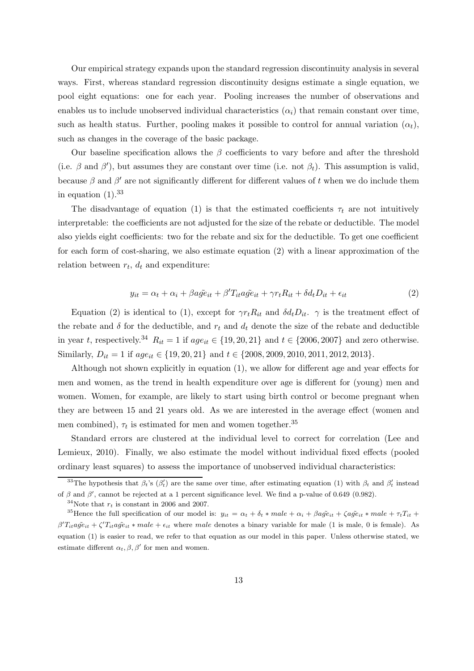Our empirical strategy expands upon the standard regression discontinuity analysis in several ways. First, whereas standard regression discontinuity designs estimate a single equation, we pool eight equations: one for each year. Pooling increases the number of observations and enables us to include unobserved individual characteristics  $(\alpha_i)$  that remain constant over time, such as health status. Further, pooling makes it possible to control for annual variation  $(\alpha_t)$ , such as changes in the coverage of the basic package.

Our baseline specification allows the  $\beta$  coefficients to vary before and after the threshold (i.e.  $\beta$  and  $\beta'$ ), but assumes they are constant over time (i.e. not  $\beta_t$ ). This assumption is valid, because  $\beta$  and  $\beta'$  are not significantly different for different values of t when we do include them in equation  $(1).<sup>33</sup>$ 

The disadvantage of equation (1) is that the estimated coefficients  $\tau_t$  are not intuitively interpretable: the coefficients are not adjusted for the size of the rebate or deductible. The model also yields eight coefficients: two for the rebate and six for the deductible. To get one coefficient for each form of cost-sharing, we also estimate equation (2) with a linear approximation of the relation between  $r_t$ ,  $d_t$  and expenditure:

$$
y_{it} = \alpha_t + \alpha_i + \beta a \tilde{g} e_{it} + \beta' T_{it} a \tilde{g} e_{it} + \gamma r_t R_{it} + \delta d_t D_{it} + \epsilon_{it}
$$
\n
$$
\tag{2}
$$

Equation (2) is identical to (1), except for  $\gamma r_t R_{it}$  and  $\delta d_t D_{it}$ .  $\gamma$  is the treatment effect of the rebate and  $\delta$  for the deductible, and  $r_t$  and  $d_t$  denote the size of the rebate and deductible in year t, respectively.<sup>34</sup>  $R_{it} = 1$  if  $age_{it} \in \{19, 20, 21\}$  and  $t \in \{2006, 2007\}$  and zero otherwise. Similarly,  $D_{it} = 1$  if  $age_{it} \in \{19, 20, 21\}$  and  $t \in \{2008, 2009, 2010, 2011, 2012, 2013\}.$ 

Although not shown explicitly in equation (1), we allow for different age and year effects for men and women, as the trend in health expenditure over age is different for (young) men and women. Women, for example, are likely to start using birth control or become pregnant when they are between 15 and 21 years old. As we are interested in the average effect (women and men combined),  $\tau_t$  is estimated for men and women together.<sup>35</sup>

Standard errors are clustered at the individual level to correct for correlation (Lee and Lemieux, 2010). Finally, we also estimate the model without individual fixed effects (pooled ordinary least squares) to assess the importance of unobserved individual characteristics:

<sup>&</sup>lt;sup>33</sup>The hypothesis that  $\beta_t$ 's  $(\beta'_t)$  are the same over time, after estimating equation (1) with  $\beta_t$  and  $\beta'_t$  instead of  $\beta$  and  $\beta'$ , cannot be rejected at a 1 percent significance level. We find a p-value of 0.649 (0.982).

<sup>&</sup>lt;sup>34</sup>Note that  $r_t$  is constant in 2006 and 2007.

<sup>&</sup>lt;sup>35</sup>Hence the full specification of our model is:  $y_{it} = \alpha_t + \delta_t * male + \alpha_i + \beta a \tilde{ge}_{it} + \zeta a \tilde{ge}_{it} * male + \tau_t T_{it} +$  $\beta' T_{it} a \tilde{g} e_{it} + \zeta' T_{it} a \tilde{g} e_{it} * male + \epsilon_{it}$  where male denotes a binary variable for male (1 is male, 0 is female). As equation (1) is easier to read, we refer to that equation as our model in this paper. Unless otherwise stated, we estimate different  $\alpha_t, \beta, \beta'$  for men and women.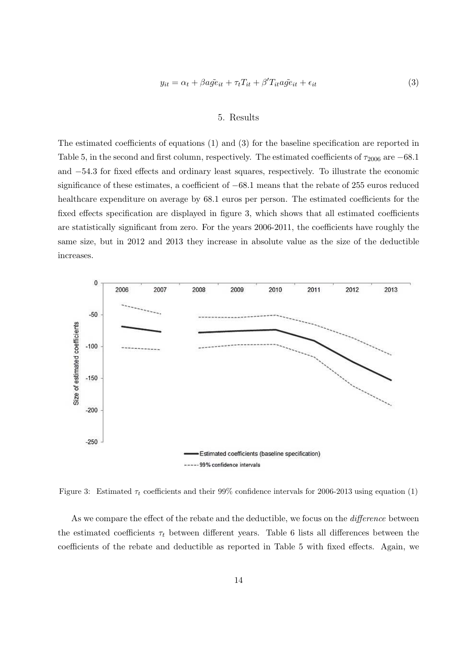$$
y_{it} = \alpha_t + \beta a \tilde{g} e_{it} + \tau_t T_{it} + \beta' T_{it} a \tilde{g} e_{it} + \epsilon_{it}
$$
\n
$$
\tag{3}
$$

## 5. Results

The estimated coefficients of equations (1) and (3) for the baseline specification are reported in Table 5, in the second and first column, respectively. The estimated coefficients of  $\tau_{2006}$  are  $-68.1$ and −54.3 for fixed effects and ordinary least squares, respectively. To illustrate the economic significance of these estimates, a coefficient of −68.1 means that the rebate of 255 euros reduced healthcare expenditure on average by  $68.1$  euros per person. The estimated coefficients for the fixed effects specification are displayed in figure 3, which shows that all estimated coefficients are statistically significant from zero. For the years 2006-2011, the coefficients have roughly the same size, but in 2012 and 2013 they increase in absolute value as the size of the deductible increases.



Figure 3: Estimated  $\tau_t$  coefficients and their 99% confidence intervals for 2006-2013 using equation (1)

As we compare the effect of the rebate and the deductible, we focus on the *difference* between the estimated coefficients  $\tau_t$  between different years. Table 6 lists all differences between the coefficients of the rebate and deductible as reported in Table 5 with fixed effects. Again, we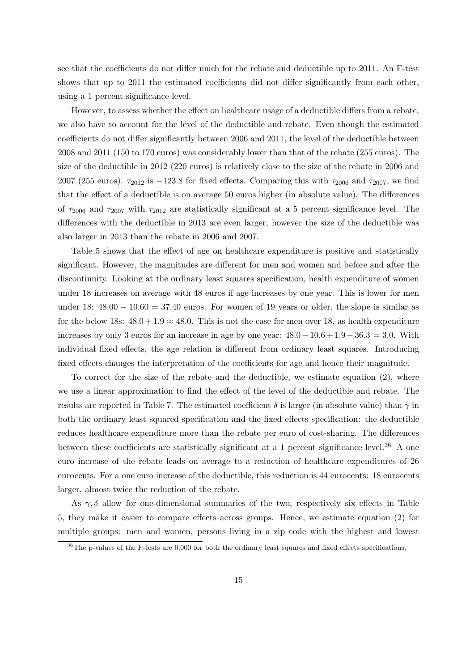see that the coefficients do not differ much for the rebate and deductible up to 2011. An F-test shows that up to 2011 the estimated coefficients did not differ significantly from each other, using a 1 percent significance level.

However, to assess whether the effect on healthcare usage of a deductible differs from a rebate, we also have to account for the level of the deductible and rebate. Even though the estimated coefficients do not differ significantly between 2006 and 2011, the level of the deductible between 2008 and 2011 (150 to 170 euros) was considerably lower than that of the rebate (255 euros). The size of the deductible in 2012 (220 euros) is relatively close to the size of the rebate in 2006 and 2007 (255 euros).  $\tau_{2012}$  is −123.8 for fixed effects. Comparing this with  $\tau_{2006}$  and  $\tau_{2007}$ , we find that the effect of a deductible is on average 50 euros higher (in absolute value). The differences of  $\tau_{2006}$  and  $\tau_{2007}$  with  $\tau_{2012}$  are statistically significant at a 5 percent significance level. The differences with the deductible in 2013 are even larger, however the size of the deductible was also larger in 2013 than the rebate in 2006 and 2007.

Table 5 shows that the effect of age on healthcare expenditure is positive and statistically significant. However, the magnitudes are different for men and women and before and after the discontinuity. Looking at the ordinary least squares specification, health expenditure of women under 18 increases on average with 48 euros if age increases by one year. This is lower for men under 18:  $48.00 - 10.60 = 37.40$  euros. For women of 19 years or older, the slope is similar as for the below 18s:  $48.0 + 1.9 \approx 48.0$ . This is not the case for men over 18, as health expenditure increases by only 3 euros for an increase in age by one year:  $48.0 - 10.6 + 1.9 - 36.3 = 3.0$ . With individual fixed effects, the age relation is different from ordinary least squares. Introducing fixed effects changes the interpretation of the coefficients for age and hence their magnitude.

To correct for the size of the rebate and the deductible, we estimate equation (2), where we use a linear approximation to find the effect of the level of the deductible and rebate. The results are reported in Table 7. The estimated coefficient  $\delta$  is larger (in absolute value) than  $\gamma$  in both the ordinary least squared specification and the fixed effects specification: the deductible reduces healthcare expenditure more than the rebate per euro of cost-sharing. The differences between these coefficients are statistically significant at a 1 percent significance level.<sup>36</sup> A one euro increase of the rebate leads on average to a reduction of healthcare expenditures of 26 eurocents. For a one euro increase of the deductible, this reduction is 44 eurocents: 18 eurocents larger, almost twice the reduction of the rebate.

As  $\gamma$ , δ allow for one-dimensional summaries of the two, respectively six effects in Table 5, they make it easier to compare effects across groups. Hence, we estimate equation (2) for multiple groups: men and women, persons living in a zip code with the highest and lowest

<sup>&</sup>lt;sup>36</sup>The p-values of the F-tests are 0.000 for both the ordinary least squares and fixed effects specifications.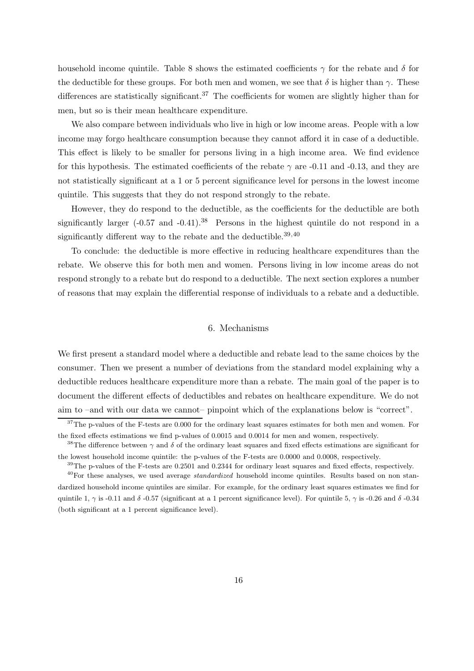household income quintile. Table 8 shows the estimated coefficients  $\gamma$  for the rebate and  $\delta$  for the deductible for these groups. For both men and women, we see that  $\delta$  is higher than  $\gamma$ . These differences are statistically significant.<sup>37</sup> The coefficients for women are slightly higher than for men, but so is their mean healthcare expenditure.

We also compare between individuals who live in high or low income areas. People with a low income may forgo healthcare consumption because they cannot afford it in case of a deductible. This effect is likely to be smaller for persons living in a high income area. We find evidence for this hypothesis. The estimated coefficients of the rebate  $\gamma$  are -0.11 and -0.13, and they are not statistically significant at a 1 or 5 percent significance level for persons in the lowest income quintile. This suggests that they do not respond strongly to the rebate.

However, they do respond to the deductible, as the coefficients for the deductible are both significantly larger  $(-0.57 \text{ and } -0.41).^{38}$  Persons in the highest quintile do not respond in a significantly different way to the rebate and the deductible.  $39,40$ 

To conclude: the deductible is more effective in reducing healthcare expenditures than the rebate. We observe this for both men and women. Persons living in low income areas do not respond strongly to a rebate but do respond to a deductible. The next section explores a number of reasons that may explain the differential response of individuals to a rebate and a deductible.

## 6. Mechanisms

We first present a standard model where a deductible and rebate lead to the same choices by the consumer. Then we present a number of deviations from the standard model explaining why a deductible reduces healthcare expenditure more than a rebate. The main goal of the paper is to document the different effects of deductibles and rebates on healthcare expenditure. We do not aim to –and with our data we cannot– pinpoint which of the explanations below is "correct".

 $37$ The p-values of the F-tests are 0.000 for the ordinary least squares estimates for both men and women. For the fixed effects estimations we find p-values of 0.0015 and 0.0014 for men and women, respectively.

<sup>&</sup>lt;sup>38</sup>The difference between  $\gamma$  and  $\delta$  of the ordinary least squares and fixed effects estimations are significant for the lowest household income quintile: the p-values of the F-tests are 0.0000 and 0.0008, respectively.

<sup>&</sup>lt;sup>39</sup>The p-values of the F-tests are 0.2501 and 0.2344 for ordinary least squares and fixed effects, respectively.

 $^{40}$ For these analyses, we used average standardized household income quintiles. Results based on non standardized household income quintiles are similar. For example, for the ordinary least squares estimates we find for quintile 1,  $\gamma$  is -0.11 and  $\delta$  -0.57 (significant at a 1 percent significance level). For quintile 5,  $\gamma$  is -0.26 and  $\delta$  -0.34 (both significant at a 1 percent significance level).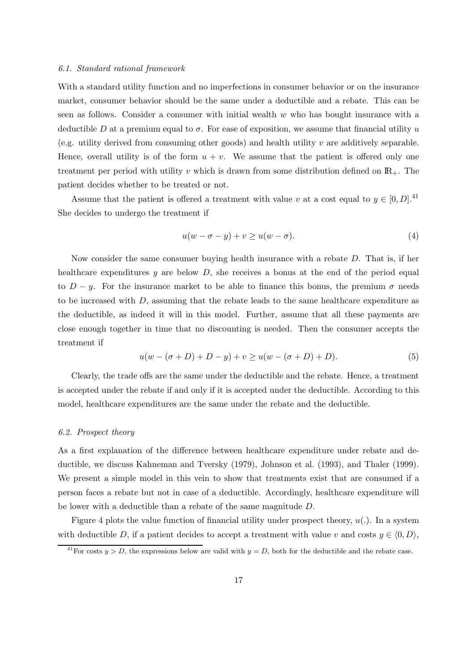#### 6.1. Standard rational framework

With a standard utility function and no imperfections in consumer behavior or on the insurance market, consumer behavior should be the same under a deductible and a rebate. This can be seen as follows. Consider a consumer with initial wealth  $w$  who has bought insurance with a deductible D at a premium equal to  $\sigma$ . For ease of exposition, we assume that financial utility u (e.g. utility derived from consuming other goods) and health utility  $v$  are additively separable. Hence, overall utility is of the form  $u + v$ . We assume that the patient is offered only one treatment per period with utility v which is drawn from some distribution defined on  $\mathbb{R}_+$ . The patient decides whether to be treated or not.

Assume that the patient is offered a treatment with value v at a cost equal to  $y \in [0, D]$ .<sup>41</sup> She decides to undergo the treatment if

$$
u(w - \sigma - y) + v \ge u(w - \sigma). \tag{4}
$$

Now consider the same consumer buying health insurance with a rebate D. That is, if her healthcare expenditures y are below  $D$ , she receives a bonus at the end of the period equal to  $D - y$ . For the insurance market to be able to finance this bonus, the premium  $\sigma$  needs to be increased with  $D$ , assuming that the rebate leads to the same healthcare expenditure as the deductible, as indeed it will in this model. Further, assume that all these payments are close enough together in time that no discounting is needed. Then the consumer accepts the treatment if

$$
u(w - (\sigma + D) + D - y) + v \ge u(w - (\sigma + D) + D).
$$
 (5)

Clearly, the trade offs are the same under the deductible and the rebate. Hence, a treatment is accepted under the rebate if and only if it is accepted under the deductible. According to this model, healthcare expenditures are the same under the rebate and the deductible.

#### 6.2. Prospect theory

As a first explanation of the difference between healthcare expenditure under rebate and deductible, we discuss Kahneman and Tversky (1979), Johnson et al. (1993), and Thaler (1999). We present a simple model in this vein to show that treatments exist that are consumed if a person faces a rebate but not in case of a deductible. Accordingly, healthcare expenditure will be lower with a deductible than a rebate of the same magnitude D.

Figure 4 plots the value function of financial utility under prospect theory,  $u(.)$ . In a system with deductible D, if a patient decides to accept a treatment with value v and costs  $y \in \langle 0, D \rangle$ ,

<sup>&</sup>lt;sup>41</sup>For costs  $y > D$ , the expressions below are valid with  $y = D$ , both for the deductible and the rebate case.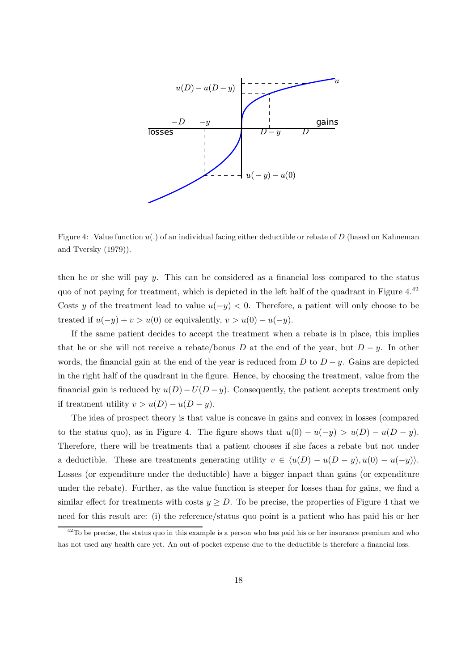

Figure 4: Value function  $u(.)$  of an individual facing either deductible or rebate of D (based on Kahneman and Tversky (1979)).

then he or she will pay  $y$ . This can be considered as a financial loss compared to the status quo of not paying for treatment, which is depicted in the left half of the quadrant in Figure 4.<sup>42</sup> Costs y of the treatment lead to value  $u(-y) < 0$ . Therefore, a patient will only choose to be treated if  $u(-y) + v > u(0)$  or equivalently,  $v > u(0) - u(-y)$ .

If the same patient decides to accept the treatment when a rebate is in place, this implies that he or she will not receive a rebate/bonus D at the end of the year, but  $D - y$ . In other words, the financial gain at the end of the year is reduced from D to  $D - y$ . Gains are depicted in the right half of the quadrant in the figure. Hence, by choosing the treatment, value from the financial gain is reduced by  $u(D) - U(D - y)$ . Consequently, the patient accepts treatment only if treatment utility  $v > u(D) - u(D - y)$ .

The idea of prospect theory is that value is concave in gains and convex in losses (compared to the status quo), as in Figure 4. The figure shows that  $u(0) - u(-y) > u(D) - u(D - y)$ . Therefore, there will be treatments that a patient chooses if she faces a rebate but not under a deductible. These are treatments generating utility  $v \in \langle u(D) - u(D - y), u(0) - u(-y) \rangle$ . Losses (or expenditure under the deductible) have a bigger impact than gains (or expenditure under the rebate). Further, as the value function is steeper for losses than for gains, we find a similar effect for treatments with costs  $y \geq D$ . To be precise, the properties of Figure 4 that we need for this result are: (i) the reference/status quo point is a patient who has paid his or her

 $^{42}$ To be precise, the status quo in this example is a person who has paid his or her insurance premium and who has not used any health care yet. An out-of-pocket expense due to the deductible is therefore a financial loss.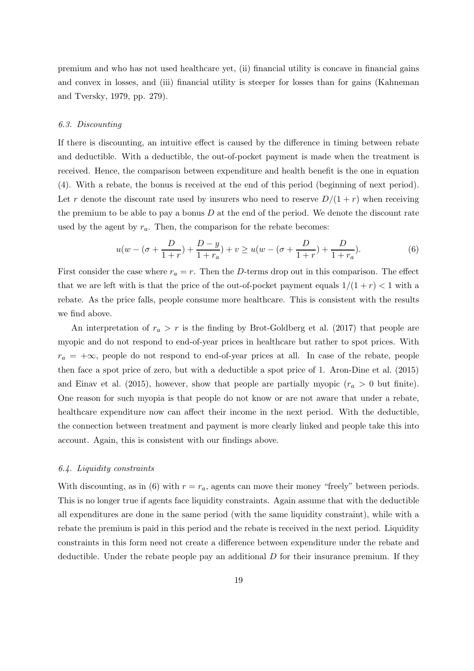premium and who has not used healthcare yet, (ii) financial utility is concave in financial gains and convex in losses, and (iii) financial utility is steeper for losses than for gains (Kahneman and Tversky, 1979, pp. 279).

#### 6.3. Discounting

If there is discounting, an intuitive effect is caused by the difference in timing between rebate and deductible. With a deductible, the out-of-pocket payment is made when the treatment is received. Hence, the comparison between expenditure and health benefit is the one in equation (4). With a rebate, the bonus is received at the end of this period (beginning of next period). Let r denote the discount rate used by insurers who need to reserve  $D/(1+r)$  when receiving the premium to be able to pay a bonus  $D$  at the end of the period. We denote the discount rate used by the agent by  $r_a$ . Then, the comparison for the rebate becomes:

$$
u(w - (\sigma + \frac{D}{1+r}) + \frac{D-y}{1+r_a}) + v \ge u(w - (\sigma + \frac{D}{1+r}) + \frac{D}{1+r_a}).
$$
\n(6)

First consider the case where  $r_a = r$ . Then the D-terms drop out in this comparison. The effect that we are left with is that the price of the out-of-pocket payment equals  $1/(1 + r) < 1$  with a rebate. As the price falls, people consume more healthcare. This is consistent with the results we find above.

An interpretation of  $r_a > r$  is the finding by Brot-Goldberg et al. (2017) that people are myopic and do not respond to end-of-year prices in healthcare but rather to spot prices. With  $r_a = +\infty$ , people do not respond to end-of-year prices at all. In case of the rebate, people then face a spot price of zero, but with a deductible a spot price of 1. Aron-Dine et al. (2015) and Einav et al. (2015), however, show that people are partially myopic  $(r_a > 0)$  but finite). One reason for such myopia is that people do not know or are not aware that under a rebate, healthcare expenditure now can affect their income in the next period. With the deductible, the connection between treatment and payment is more clearly linked and people take this into account. Again, this is consistent with our findings above.

## 6.4. Liquidity constraints

With discounting, as in (6) with  $r = r_a$ , agents can move their money "freely" between periods. This is no longer true if agents face liquidity constraints. Again assume that with the deductible all expenditures are done in the same period (with the same liquidity constraint), while with a rebate the premium is paid in this period and the rebate is received in the next period. Liquidity constraints in this form need not create a difference between expenditure under the rebate and deductible. Under the rebate people pay an additional  $D$  for their insurance premium. If they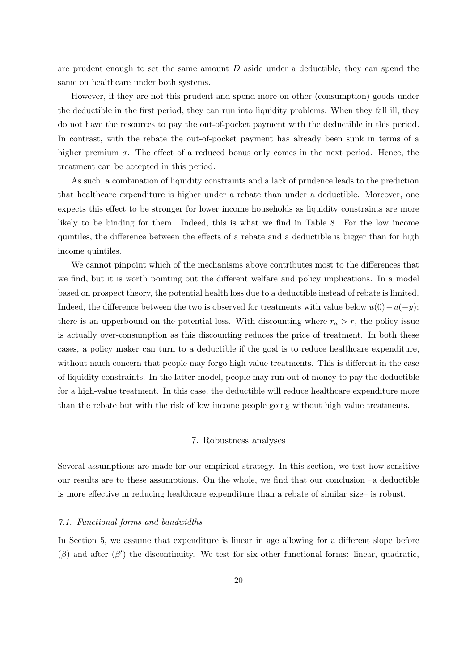are prudent enough to set the same amount  $D$  aside under a deductible, they can spend the same on healthcare under both systems.

However, if they are not this prudent and spend more on other (consumption) goods under the deductible in the first period, they can run into liquidity problems. When they fall ill, they do not have the resources to pay the out-of-pocket payment with the deductible in this period. In contrast, with the rebate the out-of-pocket payment has already been sunk in terms of a higher premium  $\sigma$ . The effect of a reduced bonus only comes in the next period. Hence, the treatment can be accepted in this period.

As such, a combination of liquidity constraints and a lack of prudence leads to the prediction that healthcare expenditure is higher under a rebate than under a deductible. Moreover, one expects this effect to be stronger for lower income households as liquidity constraints are more likely to be binding for them. Indeed, this is what we find in Table 8. For the low income quintiles, the difference between the effects of a rebate and a deductible is bigger than for high income quintiles.

We cannot pinpoint which of the mechanisms above contributes most to the differences that we find, but it is worth pointing out the different welfare and policy implications. In a model based on prospect theory, the potential health loss due to a deductible instead of rebate is limited. Indeed, the difference between the two is observed for treatments with value below  $u(0)-u(-y)$ ; there is an upperbound on the potential loss. With discounting where  $r_a > r$ , the policy issue is actually over-consumption as this discounting reduces the price of treatment. In both these cases, a policy maker can turn to a deductible if the goal is to reduce healthcare expenditure, without much concern that people may forgo high value treatments. This is different in the case of liquidity constraints. In the latter model, people may run out of money to pay the deductible for a high-value treatment. In this case, the deductible will reduce healthcare expenditure more than the rebate but with the risk of low income people going without high value treatments.

#### 7. Robustness analyses

Several assumptions are made for our empirical strategy. In this section, we test how sensitive our results are to these assumptions. On the whole, we find that our conclusion –a deductible is more effective in reducing healthcare expenditure than a rebate of similar size– is robust.

#### 7.1. Functional forms and bandwidths

In Section 5, we assume that expenditure is linear in age allowing for a different slope before (β) and after (β') the discontinuity. We test for six other functional forms: linear, quadratic,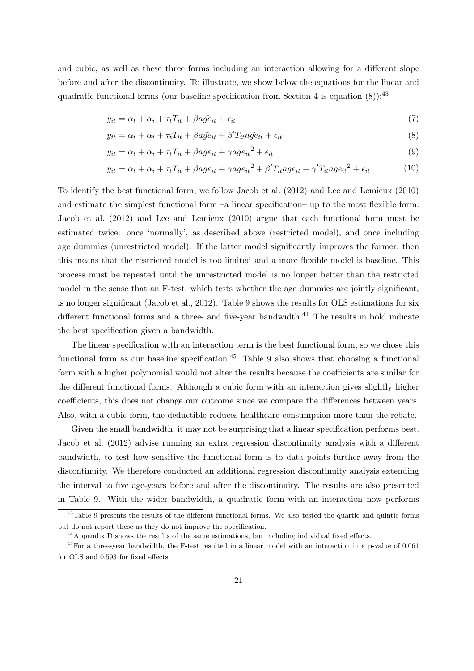and cubic, as well as these three forms including an interaction allowing for a different slope before and after the discontinuity. To illustrate, we show below the equations for the linear and quadratic functional forms (our baseline specification from Section 4 is equation  $(8)$ ):<sup>43</sup>

$$
y_{it} = \alpha_t + \alpha_i + \tau_t T_{it} + \beta a \tilde{g} e_{it} + \epsilon_{it} \tag{7}
$$

$$
y_{it} = \alpha_t + \alpha_i + \tau_t T_{it} + \beta a \tilde{g} e_{it} + \beta' T_{it} a \tilde{g} e_{it} + \epsilon_{it}
$$
\n
$$
\tag{8}
$$

$$
y_{it} = \alpha_t + \alpha_i + \tau_t T_{it} + \beta a \tilde{g} e_{it} + \gamma a \tilde{g} e_{it}^2 + \epsilon_{it}
$$
\n
$$
\tag{9}
$$

$$
y_{it} = \alpha_t + \alpha_i + \tau_t T_{it} + \beta a \tilde{g} e_{it} + \gamma a \tilde{g} e_{it}^2 + \beta' T_{it} a \tilde{g} e_{it} + \gamma' T_{it} a \tilde{g} e_{it}^2 + \epsilon_{it}
$$
(10)

To identify the best functional form, we follow Jacob et al. (2012) and Lee and Lemieux (2010) and estimate the simplest functional form –a linear specification– up to the most flexible form. Jacob et al. (2012) and Lee and Lemieux (2010) argue that each functional form must be estimated twice: once 'normally', as described above (restricted model), and once including age dummies (unrestricted model). If the latter model significantly improves the former, then this means that the restricted model is too limited and a more flexible model is baseline. This process must be repeated until the unrestricted model is no longer better than the restricted model in the sense that an F-test, which tests whether the age dummies are jointly significant, is no longer significant (Jacob et al., 2012). Table 9 shows the results for OLS estimations for six different functional forms and a three- and five-year bandwidth.<sup>44</sup> The results in bold indicate the best specification given a bandwidth.

The linear specification with an interaction term is the best functional form, so we chose this functional form as our baseline specification.<sup>45</sup> Table 9 also shows that choosing a functional form with a higher polynomial would not alter the results because the coefficients are similar for the different functional forms. Although a cubic form with an interaction gives slightly higher coefficients, this does not change our outcome since we compare the differences between years. Also, with a cubic form, the deductible reduces healthcare consumption more than the rebate.

Given the small bandwidth, it may not be surprising that a linear specification performs best. Jacob et al. (2012) advise running an extra regression discontinuity analysis with a different bandwidth, to test how sensitive the functional form is to data points further away from the discontinuity. We therefore conducted an additional regression discontinuity analysis extending the interval to five age-years before and after the discontinuity. The results are also presented in Table 9. With the wider bandwidth, a quadratic form with an interaction now performs

<sup>&</sup>lt;sup>43</sup>Table 9 presents the results of the different functional forms. We also tested the quartic and quintic forms but do not report these as they do not improve the specification.

<sup>44</sup>Appendix D shows the results of the same estimations, but including individual fixed effects.

<sup>&</sup>lt;sup>45</sup>For a three-year bandwidth, the F-test resulted in a linear model with an interaction in a p-value of 0.061 for OLS and 0.593 for fixed effects.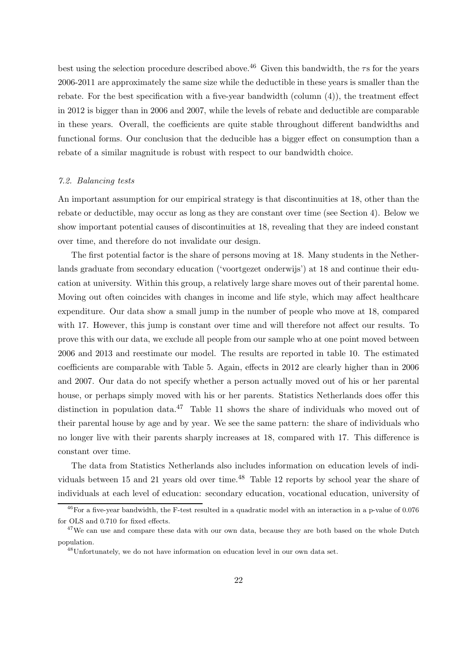best using the selection procedure described above.<sup>46</sup> Given this bandwidth, the  $\tau s$  for the years 2006-2011 are approximately the same size while the deductible in these years is smaller than the rebate. For the best specification with a five-year bandwidth (column (4)), the treatment effect in 2012 is bigger than in 2006 and 2007, while the levels of rebate and deductible are comparable in these years. Overall, the coefficients are quite stable throughout different bandwidths and functional forms. Our conclusion that the deducible has a bigger effect on consumption than a rebate of a similar magnitude is robust with respect to our bandwidth choice.

#### 7.2. Balancing tests

An important assumption for our empirical strategy is that discontinuities at 18, other than the rebate or deductible, may occur as long as they are constant over time (see Section 4). Below we show important potential causes of discontinuities at 18, revealing that they are indeed constant over time, and therefore do not invalidate our design.

The first potential factor is the share of persons moving at 18. Many students in the Netherlands graduate from secondary education ('voortgezet onderwijs') at 18 and continue their education at university. Within this group, a relatively large share moves out of their parental home. Moving out often coincides with changes in income and life style, which may affect healthcare expenditure. Our data show a small jump in the number of people who move at 18, compared with 17. However, this jump is constant over time and will therefore not affect our results. To prove this with our data, we exclude all people from our sample who at one point moved between 2006 and 2013 and reestimate our model. The results are reported in table 10. The estimated coefficients are comparable with Table 5. Again, effects in 2012 are clearly higher than in 2006 and 2007. Our data do not specify whether a person actually moved out of his or her parental house, or perhaps simply moved with his or her parents. Statistics Netherlands does offer this distinction in population data.<sup>47</sup> Table 11 shows the share of individuals who moved out of their parental house by age and by year. We see the same pattern: the share of individuals who no longer live with their parents sharply increases at 18, compared with 17. This difference is constant over time.

The data from Statistics Netherlands also includes information on education levels of individuals between 15 and 21 years old over time.<sup>48</sup> Table 12 reports by school year the share of individuals at each level of education: secondary education, vocational education, university of

<sup>46</sup>For a five-year bandwidth, the F-test resulted in a quadratic model with an interaction in a p-value of 0.076 for OLS and 0.710 for fixed effects.

<sup>&</sup>lt;sup>47</sup>We can use and compare these data with our own data, because they are both based on the whole Dutch population.

<sup>&</sup>lt;sup>48</sup>Unfortunately, we do not have information on education level in our own data set.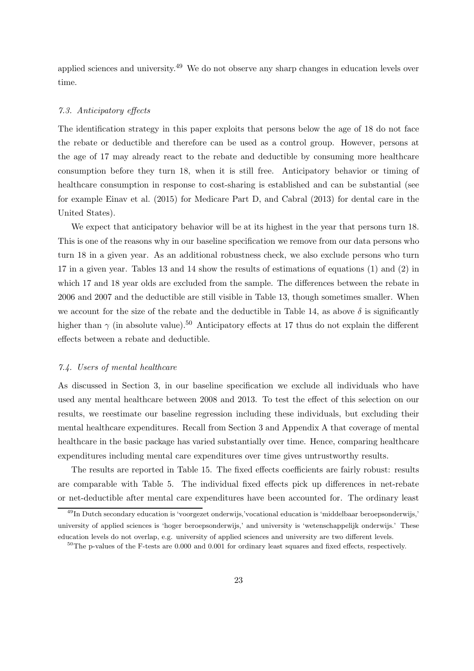applied sciences and university.<sup>49</sup> We do not observe any sharp changes in education levels over time.

#### 7.3. Anticipatory effects

The identification strategy in this paper exploits that persons below the age of 18 do not face the rebate or deductible and therefore can be used as a control group. However, persons at the age of 17 may already react to the rebate and deductible by consuming more healthcare consumption before they turn 18, when it is still free. Anticipatory behavior or timing of healthcare consumption in response to cost-sharing is established and can be substantial (see for example Einav et al. (2015) for Medicare Part D, and Cabral (2013) for dental care in the United States).

We expect that anticipatory behavior will be at its highest in the year that persons turn 18. This is one of the reasons why in our baseline specification we remove from our data persons who turn 18 in a given year. As an additional robustness check, we also exclude persons who turn 17 in a given year. Tables 13 and 14 show the results of estimations of equations (1) and (2) in which 17 and 18 year olds are excluded from the sample. The differences between the rebate in 2006 and 2007 and the deductible are still visible in Table 13, though sometimes smaller. When we account for the size of the rebate and the deductible in Table 14, as above  $\delta$  is significantly higher than  $\gamma$  (in absolute value).<sup>50</sup> Anticipatory effects at 17 thus do not explain the different effects between a rebate and deductible.

#### 7.4. Users of mental healthcare

As discussed in Section 3, in our baseline specification we exclude all individuals who have used any mental healthcare between 2008 and 2013. To test the effect of this selection on our results, we reestimate our baseline regression including these individuals, but excluding their mental healthcare expenditures. Recall from Section 3 and Appendix A that coverage of mental healthcare in the basic package has varied substantially over time. Hence, comparing healthcare expenditures including mental care expenditures over time gives untrustworthy results.

The results are reported in Table 15. The fixed effects coefficients are fairly robust: results are comparable with Table 5. The individual fixed effects pick up differences in net-rebate or net-deductible after mental care expenditures have been accounted for. The ordinary least

<sup>49</sup>In Dutch secondary education is 'voorgezet onderwijs,'vocational education is 'middelbaar beroepsonderwijs,' university of applied sciences is 'hoger beroepsonderwijs,' and university is 'wetenschappelijk onderwijs.' These education levels do not overlap, e.g. university of applied sciences and university are two different levels.

 $50$ The p-values of the F-tests are 0.000 and 0.001 for ordinary least squares and fixed effects, respectively.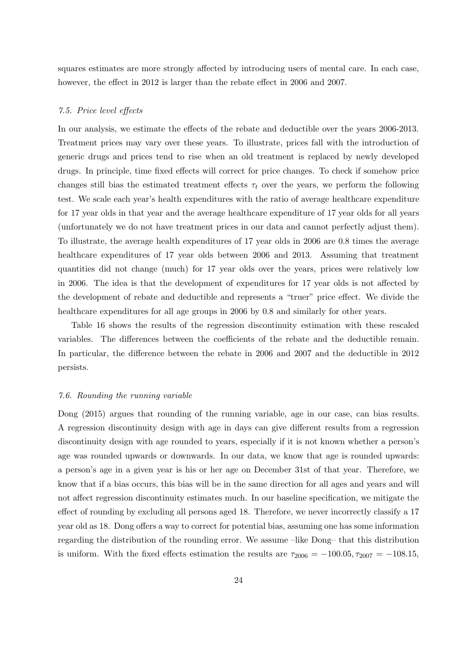squares estimates are more strongly affected by introducing users of mental care. In each case, however, the effect in 2012 is larger than the rebate effect in 2006 and 2007.

#### 7.5. Price level effects

In our analysis, we estimate the effects of the rebate and deductible over the years 2006-2013. Treatment prices may vary over these years. To illustrate, prices fall with the introduction of generic drugs and prices tend to rise when an old treatment is replaced by newly developed drugs. In principle, time fixed effects will correct for price changes. To check if somehow price changes still bias the estimated treatment effects  $\tau_t$  over the years, we perform the following test. We scale each year's health expenditures with the ratio of average healthcare expenditure for 17 year olds in that year and the average healthcare expenditure of 17 year olds for all years (unfortunately we do not have treatment prices in our data and cannot perfectly adjust them). To illustrate, the average health expenditures of 17 year olds in 2006 are 0.8 times the average healthcare expenditures of 17 year olds between 2006 and 2013. Assuming that treatment quantities did not change (much) for 17 year olds over the years, prices were relatively low in 2006. The idea is that the development of expenditures for 17 year olds is not affected by the development of rebate and deductible and represents a "truer" price effect. We divide the healthcare expenditures for all age groups in 2006 by 0.8 and similarly for other years.

Table 16 shows the results of the regression discontinuity estimation with these rescaled variables. The differences between the coefficients of the rebate and the deductible remain. In particular, the difference between the rebate in 2006 and 2007 and the deductible in 2012 persists.

#### 7.6. Rounding the running variable

Dong (2015) argues that rounding of the running variable, age in our case, can bias results. A regression discontinuity design with age in days can give different results from a regression discontinuity design with age rounded to years, especially if it is not known whether a person's age was rounded upwards or downwards. In our data, we know that age is rounded upwards: a person's age in a given year is his or her age on December 31st of that year. Therefore, we know that if a bias occurs, this bias will be in the same direction for all ages and years and will not affect regression discontinuity estimates much. In our baseline specification, we mitigate the effect of rounding by excluding all persons aged 18. Therefore, we never incorrectly classify a 17 year old as 18. Dong offers a way to correct for potential bias, assuming one has some information regarding the distribution of the rounding error. We assume –like Dong– that this distribution is uniform. With the fixed effects estimation the results are  $\tau_{2006} = -100.05, \tau_{2007} = -108.15,$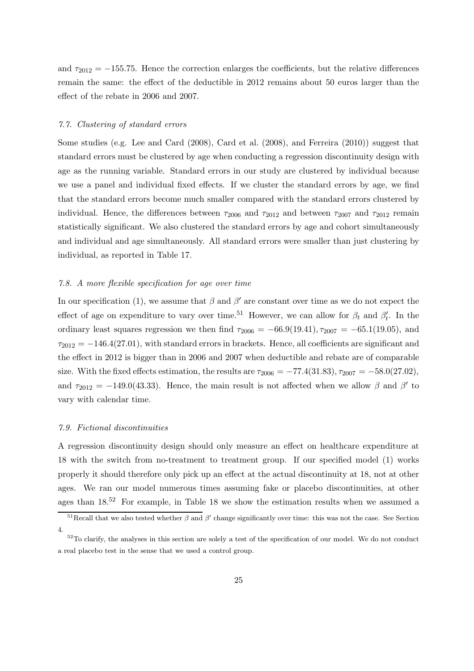and  $\tau_{2012} = -155.75$ . Hence the correction enlarges the coefficients, but the relative differences remain the same: the effect of the deductible in 2012 remains about 50 euros larger than the effect of the rebate in 2006 and 2007.

#### 7.7. Clustering of standard errors

Some studies (e.g. Lee and Card (2008), Card et al. (2008), and Ferreira (2010)) suggest that standard errors must be clustered by age when conducting a regression discontinuity design with age as the running variable. Standard errors in our study are clustered by individual because we use a panel and individual fixed effects. If we cluster the standard errors by age, we find that the standard errors become much smaller compared with the standard errors clustered by individual. Hence, the differences between  $\tau_{2006}$  and  $\tau_{2012}$  and between  $\tau_{2007}$  and  $\tau_{2012}$  remain statistically significant. We also clustered the standard errors by age and cohort simultaneously and individual and age simultaneously. All standard errors were smaller than just clustering by individual, as reported in Table 17.

## 7.8. A more flexible specification for age over time

In our specification (1), we assume that  $\beta$  and  $\beta'$  are constant over time as we do not expect the effect of age on expenditure to vary over time.<sup>51</sup> However, we can allow for  $\beta_t$  and  $\beta'_t$ . In the ordinary least squares regression we then find  $\tau_{2006} = -66.9(19.41), \tau_{2007} = -65.1(19.05),$  and  $\tau_{2012} = -146.4(27.01)$ , with standard errors in brackets. Hence, all coefficients are significant and the effect in 2012 is bigger than in 2006 and 2007 when deductible and rebate are of comparable size. With the fixed effects estimation, the results are  $\tau_{2006} = -77.4(31.83), \tau_{2007} = -58.0(27.02),$ and  $\tau_{2012} = -149.0(43.33)$ . Hence, the main result is not affected when we allow  $\beta$  and  $\beta'$  to vary with calendar time.

#### 7.9. Fictional discontinuities

A regression discontinuity design should only measure an effect on healthcare expenditure at 18 with the switch from no-treatment to treatment group. If our specified model (1) works properly it should therefore only pick up an effect at the actual discontinuity at 18, not at other ages. We ran our model numerous times assuming fake or placebo discontinuities, at other ages than 18.<sup>52</sup> For example, in Table 18 we show the estimation results when we assumed a

<sup>&</sup>lt;sup>51</sup>Recall that we also tested whether  $\beta$  and  $\beta'$  change significantly over time: this was not the case. See Section 4.

 $52$ To clarify, the analyses in this section are solely a test of the specification of our model. We do not conduct a real placebo test in the sense that we used a control group.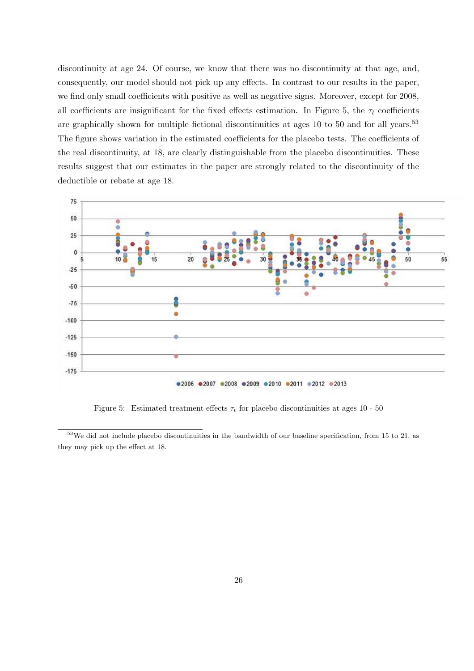discontinuity at age 24. Of course, we know that there was no discontinuity at that age, and, consequently, our model should not pick up any effects. In contrast to our results in the paper, we find only small coefficients with positive as well as negative signs. Moreover, except for 2008, all coefficients are insignificant for the fixed effects estimation. In Figure 5, the  $\tau_t$  coefficients are graphically shown for multiple fictional discontinuities at ages 10 to 50 and for all years.<sup>53</sup> The figure shows variation in the estimated coefficients for the placebo tests. The coefficients of the real discontinuity, at 18, are clearly distinguishable from the placebo discontinuities. These results suggest that our estimates in the paper are strongly related to the discontinuity of the deductible or rebate at age 18.



Figure 5: Estimated treatment effects  $\tau_t$  for placebo discontinuities at ages 10 - 50

<sup>53</sup>We did not include placebo discontinuities in the bandwidth of our baseline specification, from 15 to 21, as they may pick up the effect at 18.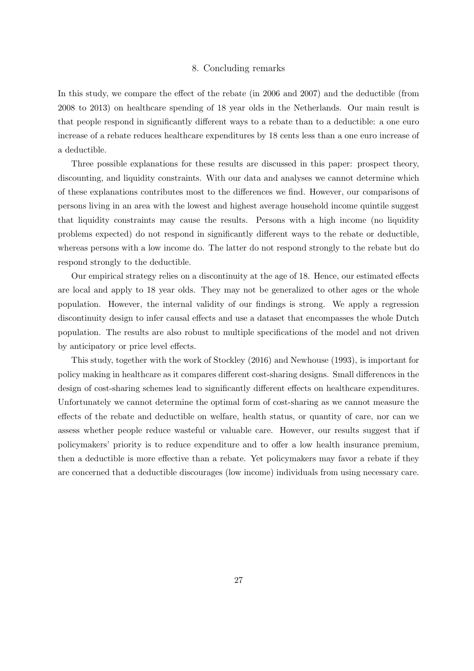#### 8. Concluding remarks

In this study, we compare the effect of the rebate (in 2006 and 2007) and the deductible (from 2008 to 2013) on healthcare spending of 18 year olds in the Netherlands. Our main result is that people respond in significantly different ways to a rebate than to a deductible: a one euro increase of a rebate reduces healthcare expenditures by 18 cents less than a one euro increase of a deductible.

Three possible explanations for these results are discussed in this paper: prospect theory, discounting, and liquidity constraints. With our data and analyses we cannot determine which of these explanations contributes most to the differences we find. However, our comparisons of persons living in an area with the lowest and highest average household income quintile suggest that liquidity constraints may cause the results. Persons with a high income (no liquidity problems expected) do not respond in significantly different ways to the rebate or deductible, whereas persons with a low income do. The latter do not respond strongly to the rebate but do respond strongly to the deductible.

Our empirical strategy relies on a discontinuity at the age of 18. Hence, our estimated effects are local and apply to 18 year olds. They may not be generalized to other ages or the whole population. However, the internal validity of our findings is strong. We apply a regression discontinuity design to infer causal effects and use a dataset that encompasses the whole Dutch population. The results are also robust to multiple specifications of the model and not driven by anticipatory or price level effects.

This study, together with the work of Stockley (2016) and Newhouse (1993), is important for policy making in healthcare as it compares different cost-sharing designs. Small differences in the design of cost-sharing schemes lead to significantly different effects on healthcare expenditures. Unfortunately we cannot determine the optimal form of cost-sharing as we cannot measure the effects of the rebate and deductible on welfare, health status, or quantity of care, nor can we assess whether people reduce wasteful or valuable care. However, our results suggest that if policymakers' priority is to reduce expenditure and to offer a low health insurance premium, then a deductible is more effective than a rebate. Yet policymakers may favor a rebate if they are concerned that a deductible discourages (low income) individuals from using necessary care.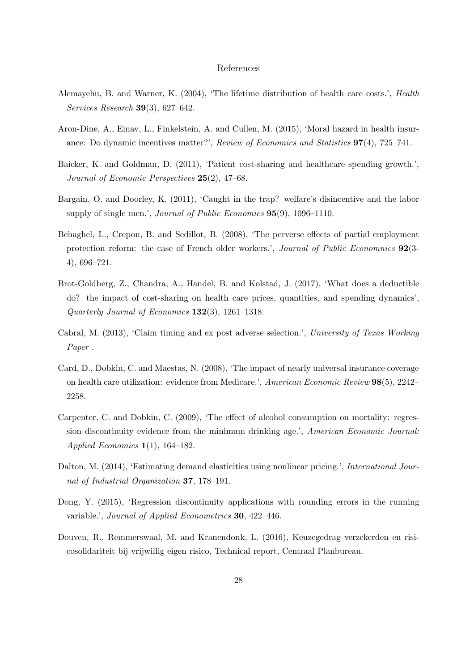## References

- Alemayehu, B. and Warner, K. (2004), 'The lifetime distribution of health care costs.', Health Services Research 39(3), 627–642.
- Aron-Dine, A., Einav, L., Finkelstein, A. and Cullen, M. (2015), 'Moral hazard in health insurance: Do dynamic incentives matter?', Review of Economics and Statistics 97(4), 725–741.
- Baicker, K. and Goldman, D. (2011), 'Patient cost-sharing and healthcare spending growth.', Journal of Economic Perspectives 25(2), 47–68.
- Bargain, O. and Doorley, K. (2011), 'Caught in the trap? welfare's disincentive and the labor supply of single men.', *Journal of Public Economics* **95**(9), 1096–1110.
- Behaghel, L., Crepon, B. and Sedillot, B. (2008), 'The perverse effects of partial employment protection reform: the case of French older workers.', Journal of Public Economnics 92(3- 4), 696–721.
- Brot-Goldberg, Z., Chandra, A., Handel, B. and Kolstad, J. (2017), 'What does a deductible do? the impact of cost-sharing on health care prices, quantities, and spending dynamics', Quarterly Journal of Economics 132(3), 1261–1318.
- Cabral, M. (2013), 'Claim timing and ex post adverse selection.', University of Texas Working Paper .
- Card, D., Dobkin, C. and Maestas, N. (2008), 'The impact of nearly universal insurance coverage on health care utilization: evidence from Medicare.', American Economic Review 98(5), 2242– 2258.
- Carpenter, C. and Dobkin, C. (2009), 'The effect of alcohol consumption on mortality: regression discontinuity evidence from the minimum drinking age.', American Economic Journal: Applied Economics  $1(1)$ , 164–182.
- Dalton, M. (2014), 'Estimating demand elasticities using nonlinear pricing.', International Journal of Industrial Organization 37, 178–191.
- Dong, Y. (2015), 'Regression discontinuity applications with rounding errors in the running variable.', Journal of Applied Econometrics 30, 422–446.
- Douven, R., Remmerswaal, M. and Kranendonk, L. (2016), Keuzegedrag verzekerden en risicosolidariteit bij vrijwillig eigen risico, Technical report, Centraal Planbureau.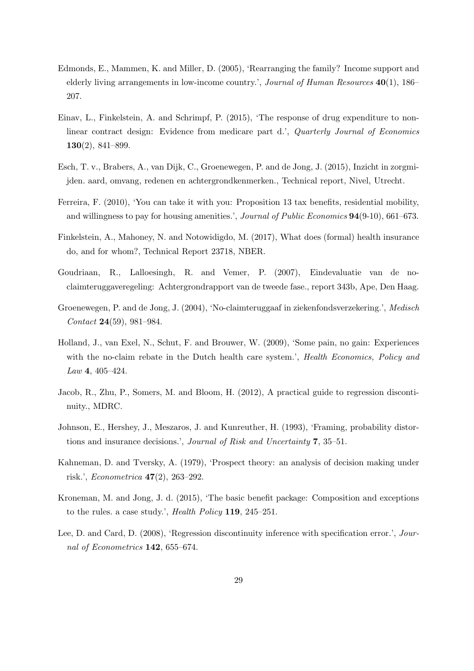- Edmonds, E., Mammen, K. and Miller, D. (2005), 'Rearranging the family? Income support and elderly living arrangements in low-income country.', *Journal of Human Resources*  $40(1)$ , 186– 207.
- Einav, L., Finkelstein, A. and Schrimpf, P. (2015), 'The response of drug expenditure to nonlinear contract design: Evidence from medicare part d.', Quarterly Journal of Economics 130(2), 841–899.
- Esch, T. v., Brabers, A., van Dijk, C., Groenewegen, P. and de Jong, J. (2015), Inzicht in zorgmijden. aard, omvang, redenen en achtergrondkenmerken., Technical report, Nivel, Utrecht.
- Ferreira, F. (2010), 'You can take it with you: Proposition 13 tax benefits, residential mobility, and willingness to pay for housing amenities.', *Journal of Public Economics* **94**(9-10), 661–673.
- Finkelstein, A., Mahoney, N. and Notowidigdo, M. (2017), What does (formal) health insurance do, and for whom?, Technical Report 23718, NBER.
- Goudriaan, R., Lalloesingh, R. and Vemer, P. (2007), Eindevaluatie van de noclaimteruggaveregeling: Achtergrondrapport van de tweede fase., report 343b, Ape, Den Haag.
- Groenewegen, P. and de Jong, J. (2004), 'No-claimteruggaaf in ziekenfondsverzekering.', Medisch Contact 24(59), 981–984.
- Holland, J., van Exel, N., Schut, F. and Brouwer, W. (2009), 'Some pain, no gain: Experiences with the no-claim rebate in the Dutch health care system.', *Health Economics*, *Policy and* Law 4, 405–424.
- Jacob, R., Zhu, P., Somers, M. and Bloom, H. (2012), A practical guide to regression discontinuity., MDRC.
- Johnson, E., Hershey, J., Meszaros, J. and Kunreuther, H. (1993), 'Framing, probability distortions and insurance decisions.', Journal of Risk and Uncertainty 7, 35–51.
- Kahneman, D. and Tversky, A. (1979), 'Prospect theory: an analysis of decision making under risk.', Econometrica 47(2), 263–292.
- Kroneman, M. and Jong, J. d. (2015), 'The basic benefit package: Composition and exceptions to the rules. a case study.', Health Policy 119, 245–251.
- Lee, D. and Card, D. (2008), 'Regression discontinuity inference with specification error.', Journal of Econometrics 142, 655–674.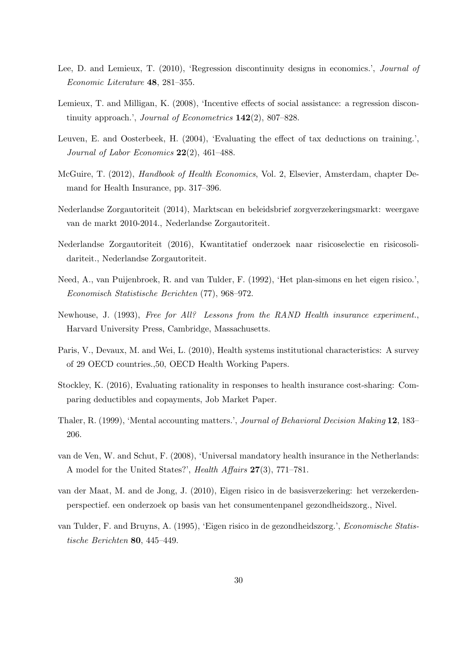- Lee, D. and Lemieux, T. (2010), 'Regression discontinuity designs in economics.', Journal of Economic Literature 48, 281–355.
- Lemieux, T. and Milligan, K. (2008), 'Incentive effects of social assistance: a regression discontinuity approach.', Journal of Econometrics  $142(2)$ , 807–828.
- Leuven, E. and Oosterbeek, H. (2004), 'Evaluating the effect of tax deductions on training.', Journal of Labor Economics  $22(2)$ , 461–488.
- McGuire, T. (2012), Handbook of Health Economics, Vol. 2, Elsevier, Amsterdam, chapter Demand for Health Insurance, pp. 317–396.
- Nederlandse Zorgautoriteit (2014), Marktscan en beleidsbrief zorgverzekeringsmarkt: weergave van de markt 2010-2014., Nederlandse Zorgautoriteit.
- Nederlandse Zorgautoriteit (2016), Kwantitatief onderzoek naar risicoselectie en risicosolidariteit., Nederlandse Zorgautoriteit.
- Need, A., van Puijenbroek, R. and van Tulder, F. (1992), 'Het plan-simons en het eigen risico.', Economisch Statistische Berichten (77), 968–972.
- Newhouse, J. (1993), Free for All? Lessons from the RAND Health insurance experiment., Harvard University Press, Cambridge, Massachusetts.
- Paris, V., Devaux, M. and Wei, L. (2010), Health systems institutional characteristics: A survey of 29 OECD countries.,50, OECD Health Working Papers.
- Stockley, K. (2016), Evaluating rationality in responses to health insurance cost-sharing: Comparing deductibles and copayments, Job Market Paper.
- Thaler, R. (1999), 'Mental accounting matters.', Journal of Behavioral Decision Making 12, 183– 206.
- van de Ven, W. and Schut, F. (2008), 'Universal mandatory health insurance in the Netherlands: A model for the United States?', Health Affairs 27(3), 771–781.
- van der Maat, M. and de Jong, J. (2010), Eigen risico in de basisverzekering: het verzekerdenperspectief. een onderzoek op basis van het consumentenpanel gezondheidszorg., Nivel.
- van Tulder, F. and Bruyns, A. (1995), 'Eigen risico in de gezondheidszorg.', Economische Statistische Berichten 80, 445–449.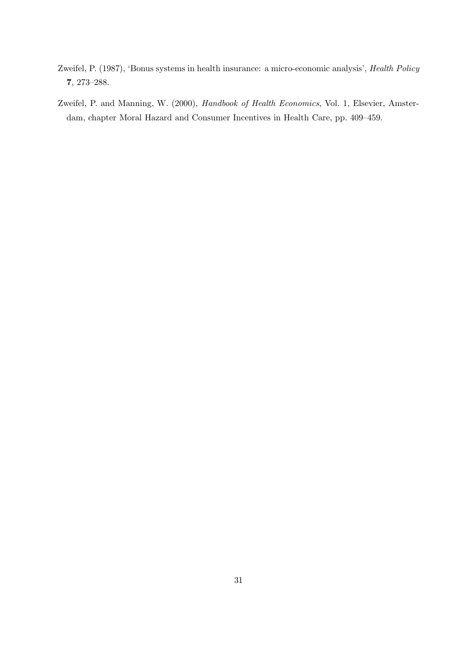- Zweifel, P. (1987), 'Bonus systems in health insurance: a micro-economic analysis', Health Policy 7, 273–288.
- Zweifel, P. and Manning, W. (2000), Handbook of Health Economics, Vol. 1, Elsevier, Amsterdam, chapter Moral Hazard and Consumer Incentives in Health Care, pp. 409–459.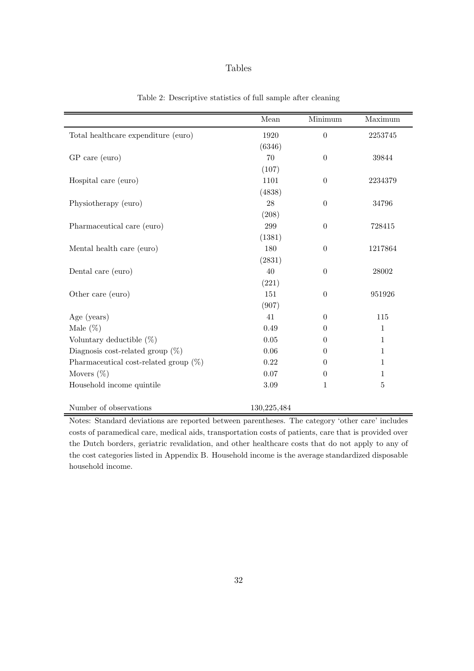## Tables

|                                          | Mean        | Minimum          | Maximum        |
|------------------------------------------|-------------|------------------|----------------|
| Total healthcare expenditure (euro)      | 1920        | $\boldsymbol{0}$ | 2253745        |
|                                          | (6346)      |                  |                |
| GP care (euro)                           | 70          | $\boldsymbol{0}$ | 39844          |
|                                          | (107)       |                  |                |
| Hospital care (euro)                     | 1101        | $\boldsymbol{0}$ | 2234379        |
|                                          | (4838)      |                  |                |
| Physiotherapy (euro)                     | 28          | $\overline{0}$   | 34796          |
|                                          | (208)       |                  |                |
| Pharmaceutical care (euro)               | 299         | $\boldsymbol{0}$ | 728415         |
|                                          | (1381)      |                  |                |
| Mental health care (euro)                | 180         | $\boldsymbol{0}$ | 1217864        |
|                                          | (2831)      |                  |                |
| Dental care (euro)                       | 40          | $\boldsymbol{0}$ | 28002          |
|                                          | (221)       |                  |                |
| Other care (euro)                        | 151         | $\boldsymbol{0}$ | 951926         |
|                                          | (907)       |                  |                |
| Age (years)                              | 41          | $\theta$         | 115            |
| Male $(\%)$                              | 0.49        | $\theta$         | $\mathbf{1}$   |
| Voluntary deductible (%)                 | $0.05\,$    | $\theta$         | $\mathbf{1}$   |
| Diagnosis cost-related group $(\%)$      | $0.06\,$    | $\theta$         | $\mathbf{1}$   |
| Pharmaceutical cost-related group $(\%)$ | 0.22        | $\theta$         | $\mathbf{1}$   |
| Movers $(\%)$                            | 0.07        | $\theta$         | 1              |
| Household income quintile                | 3.09        | 1                | $\overline{5}$ |
| Number of observations                   | 130,225,484 |                  |                |

Table 2: Descriptive statistics of full sample after cleaning

Notes: Standard deviations are reported between parentheses. The category 'other care' includes costs of paramedical care, medical aids, transportation costs of patients, care that is provided over the Dutch borders, geriatric revalidation, and other healthcare costs that do not apply to any of the cost categories listed in Appendix B. Household income is the average standardized disposable household income.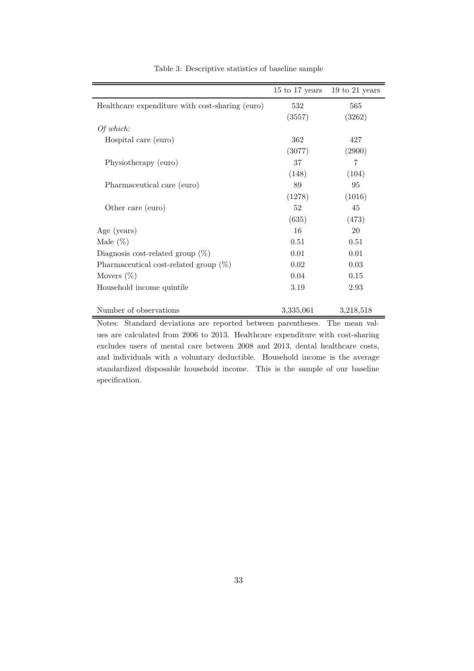|                                                              | $15$ to $17~{\rm years}$ | $19$ to $21$ years |
|--------------------------------------------------------------|--------------------------|--------------------|
| Healthcare expenditure with cost-sharing (euro)              | 532                      | 565                |
|                                                              | (3557)                   | (3262)             |
| Of which:                                                    |                          |                    |
| Hospital care (euro)                                         | 362                      | 427                |
|                                                              | (3077)                   | (2900)             |
| Physiotherapy (euro)                                         | 37                       | 7                  |
|                                                              | (148)                    | (104)              |
| Pharmaceutical care (euro)                                   | 89                       | 95                 |
|                                                              | (1278)                   | (1016)             |
| Other care (euro)                                            | 52                       | 45                 |
|                                                              | (635)                    | (473)              |
| Age (years)                                                  | 16                       | 20                 |
| Male $(\%)$                                                  | 0.51                     | 0.51               |
| Diagnosis cost-related group $(\%)$                          | 0.01                     | 0.01               |
| Pharmaceutical cost-related group $(\%)$                     | 0.02                     | 0.03               |
| Movers $(\%)$                                                | 0.04                     | 0.15               |
| Household income quintile                                    | 3.19                     | 2.93               |
| Number of observations                                       | 3,335,061                | 3,218,518          |
| Notes: Standard deviations are reported between parentheses. |                          | The mean val-      |

Table 3: Descriptive statistics of baseline sample

Notes: Standard deviations are reported between parentheses. The mean values are calculated from 2006 to 2013. Healthcare expenditure with cost-sharing excludes users of mental care between 2008 and 2013, dental healthcare costs, and individuals with a voluntary deductible. Household income is the average standardized disposable household income. This is the sample of our baseline specification.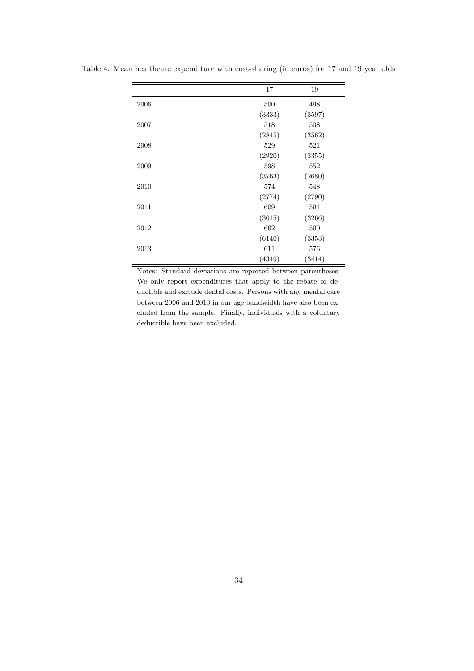|      | 17     | 19     |
|------|--------|--------|
| 2006 | 500    | 498    |
|      | (3333) | (3597) |
| 2007 | 518    | 508    |
|      | (2845) | (3562) |
| 2008 | 529    | 521    |
|      | (2920) | (3355) |
| 2009 | 598    | 552    |
|      | (3763) | (2680) |
| 2010 | 574    | 548    |
|      | (2774) | (2790) |
| 2011 | 609    | 591    |
|      | (3015) | (3266) |
| 2012 | 662    | 590    |
|      | (6140) | (3353) |
| 2013 | 611    | 576    |
|      | (4349) | (3414) |

Table 4: Mean healthcare expenditure with cost-sharing (in euros) for 17 and 19 year olds

Notes: Standard deviations are reported between parentheses. We only report expenditures that apply to the rebate or deductible and exclude dental costs. Persons with any mental care between 2006 and 2013 in our age bandwidth have also been excluded from the sample. Finally, individuals with a voluntary deductible have been excluded.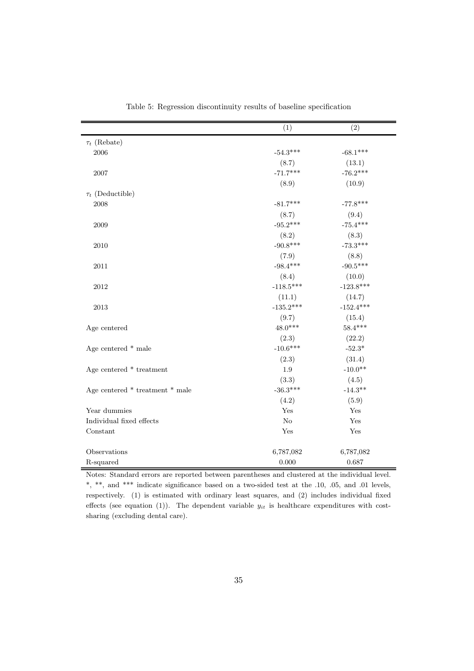|                                             | (1)                  | (2)         |
|---------------------------------------------|----------------------|-------------|
| $\tau_t$ (Rebate)                           |                      |             |
| 2006                                        | $-54.3***$           | $-68.1***$  |
|                                             | (8.7)                | (13.1)      |
| 2007                                        | $-71.7***$           | $-76.2***$  |
|                                             | (8.9)                | (10.9)      |
| $\tau_t$ (Deductible)                       |                      |             |
| 2008                                        | $-81.7***$           | $-77.8***$  |
|                                             | (8.7)                | (9.4)       |
| $\,2009\,$                                  | $-95.2***$           | $-75.4***$  |
|                                             | (8.2)                | (8.3)       |
| 2010                                        | $-90.8***$           | $-73.3***$  |
|                                             | (7.9)                | (8.8)       |
| 2011                                        | $-98.4***$           | $-90.5***$  |
|                                             | (8.4)                | (10.0)      |
| $\>2012$                                    | $-118.5***$          | $-123.8***$ |
|                                             | (11.1)               | (14.7)      |
| $\,2013$                                    | $-135.2***$          | $-152.4***$ |
|                                             | (9.7)                | (15.4)      |
| Age centered                                | $48.0***$            | $58.4***$   |
|                                             | (2.3)                | (22.2)      |
| Age centered * male                         | $-10.6***$           | $-52.3*$    |
|                                             | (2.3)                | (31.4)      |
| Age centered $^\ast$ treatment              | 1.9                  | $-10.0**$   |
|                                             | (3.3)                | (4.5)       |
| Age centered $^\ast$ treatment $^\ast$ male | $-36.3***$           | $-14.3**$   |
|                                             | (4.2)                | (5.9)       |
| Year dummies                                | $\operatorname{Yes}$ | Yes         |
| Individual fixed effects                    | No                   | Yes         |
| Constant                                    | Yes                  | Yes         |
| Observations                                | 6,787,082            | 6,787,082   |
| R-squared                                   | 0.000                | 0.687       |

Table 5: Regression discontinuity results of baseline specification

Notes: Standard errors are reported between parentheses and clustered at the individual level. \*, \*\*, and \*\*\* indicate significance based on a two-sided test at the .10, .05, and .01 levels, respectively. (1) is estimated with ordinary least squares, and (2) includes individual fixed effects (see equation (1)). The dependent variable  $y_{it}$  is healthcare expenditures with costsharing (excluding dental care).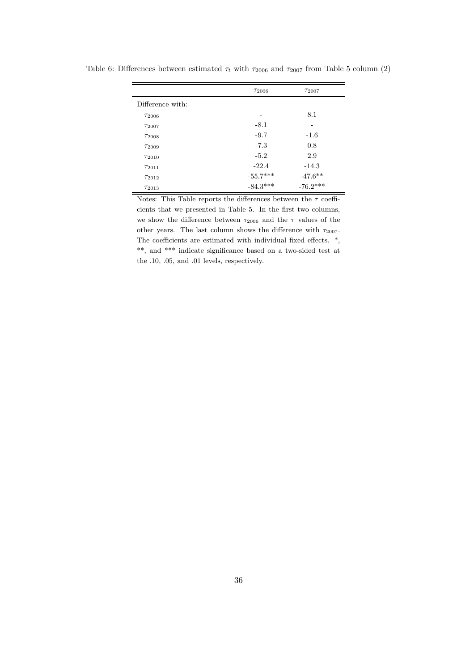|                  | $\tau_{2006}$            | $\tau_{2007}$ |
|------------------|--------------------------|---------------|
| Difference with: |                          |               |
| $\tau_{2006}$    |                          | 8.1           |
| $\tau_{2007}$    | $-8.1$                   |               |
| $\tau_{2008}$    | $-9.7$                   | $-1.6$        |
| $\tau_{2009}$    | $-7.3$                   | 0.8           |
| $\tau_{2010}$    | $-5.2$                   | 2.9           |
| $\tau_{2011}$    | $-22.4$                  | $-14.3$       |
| T2012            | $-55.7***$<br>$-84.3***$ | $-47.6**$     |
| $\tau_{2013}$    |                          | $-76.2***$    |

Table 6: Differences between estimated  $\tau_t$  with  $\tau_{2006}$  and  $\tau_{2007}$  from Table 5 column (2)

Notes: This Table reports the differences between the  $\tau$  coefficients that we presented in Table 5. In the first two columns, we show the difference between  $\tau_{2006}$  and the  $\tau$  values of the other years. The last column shows the difference with  $\tau_{2007}$ . The coefficients are estimated with individual fixed effects. \*, \*\*, and \*\*\* indicate significance based on a two-sided test at the .10, .05, and .01 levels, respectively.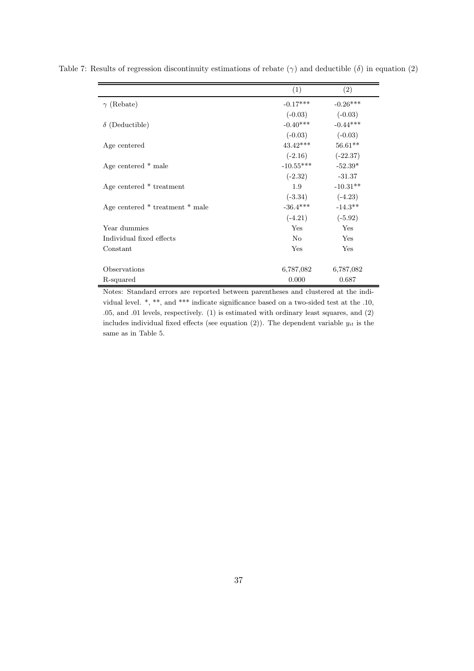| (1)         | (2)        |
|-------------|------------|
| $-0.17***$  | $-0.26***$ |
| $(-0.03)$   | $(-0.03)$  |
| $-0.40***$  | $-0.44***$ |
| $(-0.03)$   | $(-0.03)$  |
| $43.42***$  | $56.61**$  |
| $(-2.16)$   | $(-22.37)$ |
| $-10.55***$ | $-52.39*$  |
| $(-2.32)$   | $-31.37$   |
| 1.9         | $-10.31**$ |
| $(-3.34)$   | $(-4.23)$  |
| $-36.4***$  | $-14.3**$  |
| $(-4.21)$   | $(-5.92)$  |
| Yes         | Yes        |
| No          | Yes        |
| Yes         | Yes        |
|             |            |
| 6,787,082   | 6,787,082  |
| 0.000       | 0.687      |
|             |            |

Table 7: Results of regression discontinuity estimations of rebate  $(\gamma)$  and deductible  $(\delta)$  in equation (2)

Notes: Standard errors are reported between parentheses and clustered at the individual level. \*, \*\*, and \*\*\* indicate significance based on a two-sided test at the .10, .05, and .01 levels, respectively. (1) is estimated with ordinary least squares, and (2) includes individual fixed effects (see equation (2)). The dependent variable  $y_{it}$  is the same as in Table 5.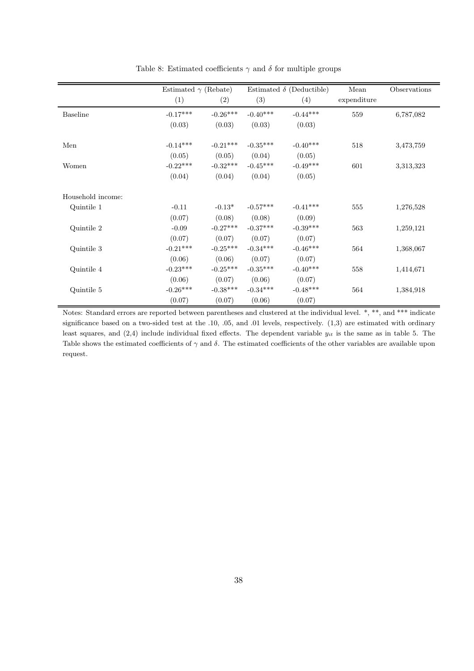|                       | Estimated $\gamma$ (Rebate) |            |            | Estimated $\delta$ (Deductible) | Mean        | Observations |
|-----------------------|-----------------------------|------------|------------|---------------------------------|-------------|--------------|
|                       | (1)                         | (2)        | (3)        | (4)                             | expenditure |              |
| Baseline              | $-0.17***$                  | $-0.26***$ | $-0.40***$ | $-0.44***$                      | 559         | 6,787,082    |
|                       | (0.03)                      | (0.03)     | (0.03)     | (0.03)                          |             |              |
|                       |                             |            |            |                                 |             |              |
| Men                   | $-0.14***$                  | $-0.21***$ | $-0.35***$ | $-0.40***$                      | 518         | 3,473,759    |
|                       | (0.05)                      | (0.05)     | (0.04)     | (0.05)                          |             |              |
| Women                 | $-0.22***$                  | $-0.32***$ | $-0.45***$ | $-0.49***$                      | 601         | 3,313,323    |
|                       | (0.04)                      | (0.04)     | (0.04)     | (0.05)                          |             |              |
| Household income:     |                             |            |            |                                 |             |              |
| Quintile 1            | $-0.11$                     | $-0.13*$   | $-0.57***$ | $-0.41***$                      | 555         | 1,276,528    |
|                       | (0.07)                      | (0.08)     | (0.08)     | (0.09)                          |             |              |
| Quintile 2            | $-0.09$                     | $-0.27***$ | $-0.37***$ | $-0.39***$                      | 563         | 1,259,121    |
|                       | (0.07)                      | (0.07)     | (0.07)     | (0.07)                          |             |              |
| Quintile 3            | $-0.21***$                  | $-0.25***$ | $-0.34***$ | $-0.46***$                      | 564         | 1,368,067    |
|                       | (0.06)                      | (0.06)     | (0.07)     | (0.07)                          |             |              |
| Quintile 4            | $-0.23***$                  | $-0.25***$ | $-0.35***$ | $-0.40***$                      | 558         | 1,414,671    |
|                       | (0.06)                      | (0.07)     | (0.06)     | (0.07)                          |             |              |
| $\mbox{Quintile}$ $5$ | $-0.26***$                  | $-0.38***$ | $-0.34***$ | $-0.48***$                      | 564         | 1,384,918    |
|                       | (0.07)                      | (0.07)     | (0.06)     | (0.07)                          |             |              |

Table 8: Estimated coefficients  $\gamma$  and  $\delta$  for multiple groups

Notes: Standard errors are reported between parentheses and clustered at the individual level. \*, \*\*, and \*\*\* indicate significance based on a two-sided test at the .10, .05, and .01 levels, respectively. (1,3) are estimated with ordinary least squares, and  $(2,4)$  include individual fixed effects. The dependent variable  $y_{it}$  is the same as in table 5. The Table shows the estimated coefficients of  $\gamma$  and  $\delta$ . The estimated coefficients of the other variables are available upon request.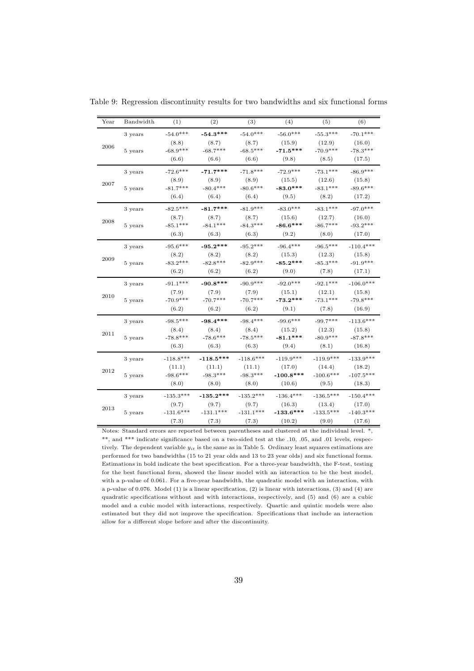| $\operatorname{Year}$ | Bandwidth | (1)         | (2)         | (3)         | (4)         | (5)         | (6)         |
|-----------------------|-----------|-------------|-------------|-------------|-------------|-------------|-------------|
|                       | 3 years   | $-54.0***$  | $-54.3***$  | $-54.0***$  | $-56.0***$  | $-55.3***$  | $-70.1***$  |
| 2006                  |           | (8.8)       | (8.7)       | (8.7)       | (15.9)      | (12.9)      | (16.0)      |
|                       | 5 years   | $-68.9***$  | $-68.7***$  | $-68.5***$  | $-71.5***$  | $-70.9***$  | $-78.3***$  |
|                       |           | (6.6)       | (6.6)       | (6.6)       | (9.8)       | (8.5)       | (17.5)      |
|                       | 3 years   | $-72.6***$  | $-71.7***$  | $-71.8***$  | $-72.9***$  | $-73.1***$  | $-86.9***$  |
|                       |           | (8.9)       | (8.9)       | (8.9)       | (15.5)      | (12.6)      | (15.8)      |
| 2007                  | 5 years   | $-81.7***$  | $-80.4***$  | $-80.6***$  | $-83.0***$  | $-83.1***$  | $-89.6***$  |
|                       |           | (6.4)       | (6.4)       | (6.4)       | (9.5)       | (8.2)       | (17.2)      |
|                       | 3 years   | $-82.5***$  | $-81.7***$  | $-81.9***$  | $-83.0***$  | $-83.1***$  | $-97.0***$  |
|                       |           | (8.7)       | (8.7)       | (8.7)       | (15.6)      | (12.7)      | (16.0)      |
| 2008                  | 5 years   | $-85.1***$  | $-84.1***$  | $-84.3***$  | $-86.6***$  | $-86.7***$  | $-93.2***$  |
|                       |           | (6.3)       | (6.3)       | (6.3)       | (9.2)       | (8.0)       | (17.0)      |
|                       | 3 years   | $-95.6***$  | $-95.2***$  | $-95.2***$  | $-96.4***$  | $-96.5***$  | $-110.4***$ |
|                       |           | (8.2)       | (8.2)       | (8.2)       | (15.3)      | (12.3)      | (15.8)      |
| 2009                  | 5 years   | $-83.2***$  | $-82.8***$  | $-82.9***$  | $-85.2***$  | $-85.3***$  | $-91.9***$  |
|                       |           | (6.2)       | (6.2)       | (6.2)       | (9.0)       | (7.8)       | (17.1)      |
|                       | 3 years   | $-91.1***$  | $-90.8***$  | $-90.9***$  | $-92.0***$  | $-92.1***$  | $-106.0***$ |
|                       |           | (7.9)       | (7.9)       | (7.9)       | (15.1)      | (12.1)      | (15.8)      |
| 2010                  | 5 years   | $-70.9***$  | $-70.7***$  | $-70.7***$  | $-73.2***$  | $-73.1***$  | $-79.8***$  |
|                       |           | (6.2)       | (6.2)       | (6.2)       | (9.1)       | (7.8)       | (16.9)      |
|                       | 3 years   | $-98.5***$  | $-98.4***$  | $-98.4***$  | $-99.6***$  | $-99.7***$  | $-113.6***$ |
|                       |           | (8.4)       | (8.4)       | (8.4)       | (15.2)      | (12.3)      | (15.8)      |
| 2011                  | 5 years   | $-78.8***$  | $-78.6***$  | $-78.5***$  | $-81.1***$  | $-80.9***$  | $-87.8***$  |
|                       |           | (6.3)       | (6.3)       | (6.3)       | (9.4)       | (8.1)       | (16.8)      |
|                       | 3 years   | $-118.8***$ | $-118.5***$ | $-118.6***$ | $-119.9***$ | $-119.9***$ | $-133.9***$ |
|                       |           | (11.1)      | (11.1)      | (11.1)      | (17.0)      | (14.4)      | (18.2)      |
| 2012                  | 5 years   | $-98.6***$  | $-98.3***$  | $-98.3***$  | $-100.8***$ | $-100.6***$ | $-107.5***$ |
|                       |           | (8.0)       | (8.0)       | (8.0)       | (10.6)      | (9.5)       | (18.3)      |
|                       | 3 years   | $-135.3***$ | $-135.2***$ | $-135.2***$ | $-136.4***$ | $-136.5***$ | $-150.4***$ |
|                       |           | (9.7)       | (9.7)       | (9.7)       | (16.3)      | (13.4)      | (17.0)      |
| 2013                  | 5 years   | $-131.6***$ | $-131.1***$ | $-131.1***$ | $-133.6***$ | $-133.5***$ | $-140.3***$ |
|                       |           | (7.3)       | (7.3)       | (7.3)       | (10.2)      | (9.0)       | (17.6)      |

Table 9: Regression discontinuity results for two bandwidths and six functional forms

Notes: Standard errors are reported between parentheses and clustered at the individual level. \*, \*\*, and \*\*\* indicate significance based on a two-sided test at the .10, .05, and .01 levels, respectively. The dependent variable  $y_{it}$  is the same as in Table 5. Ordinary least squares estimations are performed for two bandwidths (15 to 21 year olds and 13 to 23 year olds) and six functional forms. Estimations in bold indicate the best specification. For a three-year bandwidth, the F-test, testing for the best functional form, showed the linear model with an interaction to be the best model, with a p-value of 0.061. For a five-year bandwidth, the quadratic model with an interaction, with a p-value of 0.076. Model (1) is a linear specification, (2) is linear with interactions, (3) and (4) are quadratic specifications without and with interactions, respectively, and (5) and (6) are a cubic model and a cubic model with interactions, respectively. Quartic and quintic models were also estimated but they did not improve the specification. Specifications that include an interaction allow for a different slope before and after the discontinuity.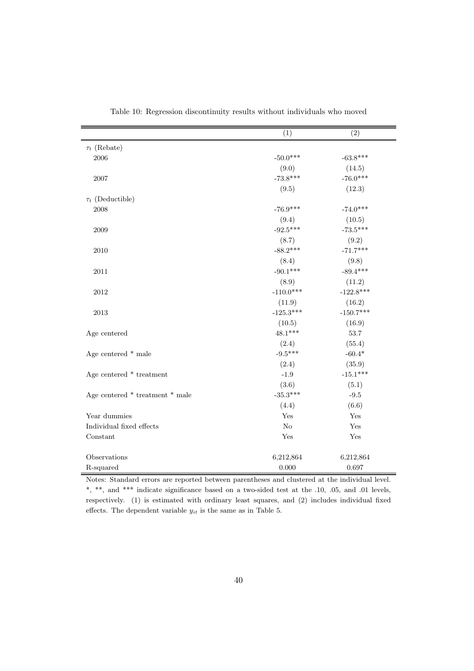|                                 | (1)         | (2)         |
|---------------------------------|-------------|-------------|
| $\tau_t$ (Rebate)               |             |             |
| 2006                            | $-50.0***$  | $-63.8***$  |
|                                 | (9.0)       | (14.5)      |
| 2007                            | $-73.8***$  | $-76.0***$  |
|                                 | (9.5)       | (12.3)      |
| $\tau_t$ (Deductible)           |             |             |
| $\,2008\,$                      | $-76.9***$  | $-74.0***$  |
|                                 | (9.4)       | (10.5)      |
| 2009                            | $-92.5***$  | $-73.5***$  |
|                                 | (8.7)       | (9.2)       |
| 2010                            | $-88.2***$  | $-71.7***$  |
|                                 | (8.4)       | (9.8)       |
| $2011\,$                        | $-90.1***$  | $-89.4***$  |
|                                 | (8.9)       | (11.2)      |
| 2012                            | $-110.0***$ | $-122.8***$ |
|                                 | (11.9)      | (16.2)      |
| $\,2013$                        | $-125.3***$ | $-150.7***$ |
|                                 | (10.5)      | (16.9)      |
| Age centered                    | $48.1***$   | 53.7        |
|                                 | (2.4)       | (55.4)      |
| Age centered * male             | $-9.5***$   | $-60.4*$    |
|                                 | (2.4)       | (35.9)      |
| Age centered $*$ treatment      | $-1.9$      | $-15.1***$  |
|                                 | (3.6)       | (5.1)       |
| Age centered * treatment * male | $-35.3***$  | $-9.5$      |
|                                 | (4.4)       | (6.6)       |
| Year dummies                    | Yes         | Yes         |
| Individual fixed effects        | $\rm No$    | Yes         |
| Constant                        | Yes         | Yes         |
| Observations                    | 6,212,864   | 6,212,864   |
| R-squared                       | 0.000       | 0.697       |

Table 10: Regression discontinuity results without individuals who moved

Notes: Standard errors are reported between parentheses and clustered at the individual level. \*, \*\*, and \*\*\* indicate significance based on a two-sided test at the .10, .05, and .01 levels, respectively. (1) is estimated with ordinary least squares, and (2) includes individual fixed effects. The dependent variable  $y_{it}$  is the same as in Table 5.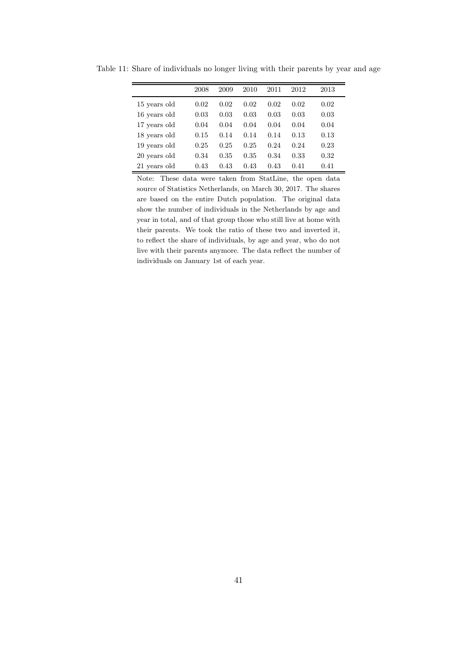|              | 2008 | 2009 | 2010 | 2011 | 2012 | 2013 |
|--------------|------|------|------|------|------|------|
| 15 years old | 0.02 | 0.02 | 0.02 | 0.02 | 0.02 | 0.02 |
| 16 years old | 0.03 | 0.03 | 0.03 | 0.03 | 0.03 | 0.03 |
| 17 years old | 0.04 | 0.04 | 0.04 | 0.04 | 0.04 | 0.04 |
| 18 years old | 0.15 | 0.14 | 0.14 | 0.14 | 0.13 | 0.13 |
| 19 years old | 0.25 | 0.25 | 0.25 | 0.24 | 0.24 | 0.23 |
| 20 years old | 0.34 | 0.35 | 0.35 | 0.34 | 0.33 | 0.32 |
| 21 years old | 0.43 | 0.43 | 0.43 | 0.43 | 0.41 | 0.41 |

Table 11: Share of individuals no longer living with their parents by year and age

Note: These data were taken from StatLine, the open data source of Statistics Netherlands, on March 30, 2017. The shares are based on the entire Dutch population. The original data show the number of individuals in the Netherlands by age and year in total, and of that group those who still live at home with their parents. We took the ratio of these two and inverted it, to reflect the share of individuals, by age and year, who do not live with their parents anymore. The data reflect the number of individuals on January 1st of each year.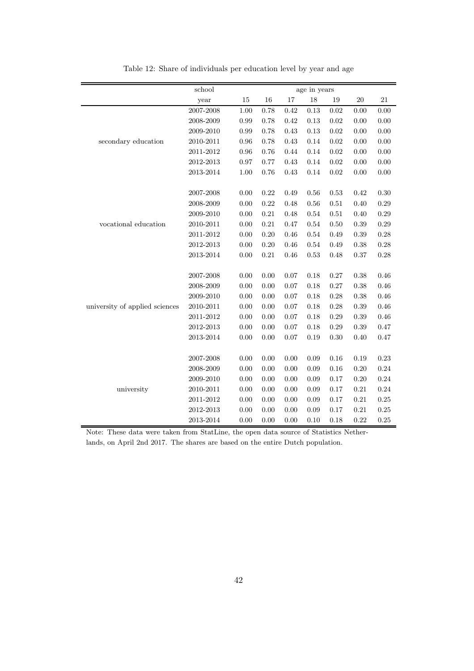|                                | school    |          |            |          | age in years |            |            |          |
|--------------------------------|-----------|----------|------------|----------|--------------|------------|------------|----------|
|                                | year      | $15\,$   | $16\,$     | 17       | $18\,$       | $19\,$     | $20\,$     | $21\,$   |
|                                | 2007-2008 | 1.00     | 0.78       | 0.42     | 0.13         | 0.02       | 0.00       | 0.00     |
| secondary education            | 2008-2009 | 0.99     | 0.78       | 0.42     | $\rm 0.13$   | 0.02       | 0.00       | 0.00     |
|                                | 2009-2010 | 0.99     | 0.78       | $0.43\,$ | 0.13         | 0.02       | 0.00       | 0.00     |
|                                | 2010-2011 | 0.96     | 0.78       | 0.43     | 0.14         | $\rm 0.02$ | 0.00       | 0.00     |
|                                | 2011-2012 | 0.96     | 0.76       | 0.44     | 0.14         | 0.02       | 0.00       | 0.00     |
|                                | 2012-2013 | 0.97     | $0.77\,$   | 0.43     | 0.14         | 0.02       | $0.00\,$   | 0.00     |
|                                | 2013-2014 | $1.00\,$ | $0.76\,$   | 0.43     | 0.14         | 0.02       | 0.00       | 0.00     |
|                                | 2007-2008 | 0.00     | $0.22\,$   | 0.49     | $0.56\,$     | 0.53       | $\rm 0.42$ | $0.30\,$ |
|                                | 2008-2009 | 0.00     | $0.22\,$   | 0.48     | 0.56         | $0.51\,$   | 0.40       | 0.29     |
|                                | 2009-2010 | 0.00     | $\rm 0.21$ | 0.48     | 0.54         | 0.51       | 0.40       | $0.29\,$ |
| vocational education           | 2010-2011 | 0.00     | $\rm 0.21$ | $0.47\,$ | 0.54         | 0.50       | 0.39       | $0.29\,$ |
|                                | 2011-2012 | 0.00     | $0.20\,$   | $0.46\,$ | $\rm 0.54$   | 0.49       | 0.39       | 0.28     |
|                                | 2012-2013 | 0.00     | $0.20\,$   | $0.46\,$ | 0.54         | 0.49       | 0.38       | $0.28\,$ |
|                                | 2013-2014 | 0.00     | $\rm 0.21$ | 0.46     | 0.53         | 0.48       | $0.37\,$   | 0.28     |
|                                | 2007-2008 | 0.00     | $0.00\,$   | 0.07     | 0.18         | 0.27       | 0.38       | $0.46\,$ |
|                                | 2008-2009 | 0.00     | $0.00\,$   | $0.07\,$ | 0.18         | $0.27\,$   | $0.38\,$   | 0.46     |
|                                | 2009-2010 | 0.00     | $0.00\,$   | $0.07\,$ | $0.18\,$     | 0.28       | $0.38\,$   | 0.46     |
| university of applied sciences | 2010-2011 | 0.00     | $0.00\,$   | $0.07\,$ | 0.18         | 0.28       | 0.39       | 0.46     |
|                                | 2011-2012 | 0.00     | $0.00\,$   | 0.07     | 0.18         | 0.29       | $0.39\,$   | 0.46     |
|                                | 2012-2013 | 0.00     | $0.00\,$   | $0.07\,$ | 0.18         | 0.29       | 0.39       | 0.47     |
|                                | 2013-2014 | 0.00     | $0.00\,$   | $0.07\,$ | 0.19         | 0.30       | 0.40       | 0.47     |
|                                | 2007-2008 | 0.00     | $0.00\,$   | $0.00\,$ | 0.09         | 0.16       | 0.19       | 0.23     |
|                                | 2008-2009 | 0.00     | 0.00       | 0.00     | 0.09         | 0.16       | $0.20\,$   | 0.24     |
|                                | 2009-2010 | 0.00     | $0.00\,$   | 0.00     | 0.09         | 0.17       | $0.20\,$   | $0.24\,$ |
| university                     | 2010-2011 | 0.00     | 0.00       | $0.00\,$ | 0.09         | 0.17       | $\rm 0.21$ | $0.24\,$ |
|                                | 2011-2012 | 0.00     | $0.00\,$   | 0.00     | 0.09         | 0.17       | $\rm 0.21$ | 0.25     |
|                                | 2012-2013 | 0.00     | 0.00       | 0.00     | 0.09         | 0.17       | 0.21       | 0.25     |
|                                | 2013-2014 | 0.00     | 0.00       | 0.00     | 0.10         | 0.18       | 0.22       | 0.25     |

Table 12: Share of individuals per education level by year and age

Note: These data were taken from StatLine, the open data source of Statistics Netherlands, on April 2nd 2017. The shares are based on the entire Dutch population.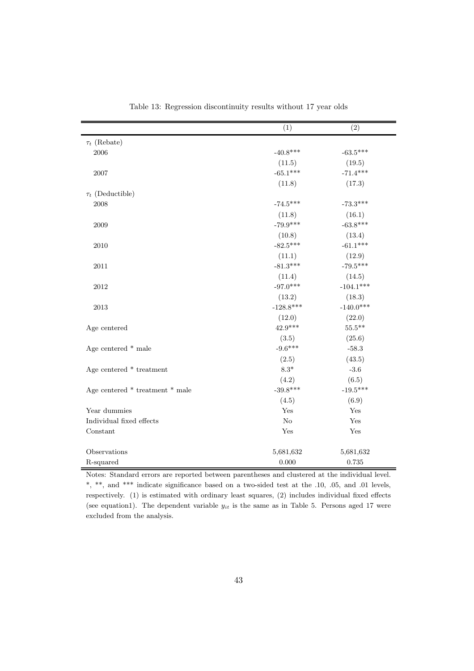|                                 | (1)         | $\overline{(2)}$ |
|---------------------------------|-------------|------------------|
| $\tau_t$ (Rebate)               |             |                  |
| 2006                            | $-40.8***$  | $-63.5***$       |
|                                 | (11.5)      | (19.5)           |
| $2007\,$                        | $-65.1***$  | $-71.4***$       |
|                                 | (11.8)      | (17.3)           |
| $\tau_t$ (Deductible)           |             |                  |
| 2008                            | $-74.5***$  | $-73.3***$       |
|                                 | (11.8)      | (16.1)           |
| 2009                            | $-79.9***$  | $-63.8***$       |
|                                 | (10.8)      | (13.4)           |
| 2010                            | $-82.5***$  | $-61.1***$       |
|                                 | (11.1)      | (12.9)           |
| 2011                            | $-81.3***$  | $-79.5***$       |
|                                 | (11.4)      | (14.5)           |
| $\>2012$                        | $-97.0***$  | $-104.1***$      |
|                                 | (13.2)      | (18.3)           |
| $\,2013$                        | $-128.8***$ | $-140.0***$      |
|                                 | (12.0)      | (22.0)           |
| Age centered                    | $42.9***$   | $55.5***$        |
|                                 | (3.5)       | (25.6)           |
| Age centered $*$ male           | $-9.6***$   | $-58.3$          |
|                                 | (2.5)       | (43.5)           |
| Age centered * treatment        | $8.3*$      | $-3.6$           |
|                                 | (4.2)       | (6.5)            |
| Age centered * treatment * male | $-39.8***$  | $-19.5***$       |
|                                 | (4.5)       | (6.9)            |
| Year dummies                    | Yes         | Yes              |
| Individual fixed effects        | $\rm No$    | Yes              |
| Constant                        | Yes         | Yes              |
| Observations                    | 5,681,632   | 5,681,632        |
| R-squared                       | 0.000       | $0.735\,$        |

Table 13: Regression discontinuity results without 17 year olds

Notes: Standard errors are reported between parentheses and clustered at the individual level. \*, \*\*, and \*\*\* indicate significance based on a two-sided test at the .10, .05, and .01 levels, respectively. (1) is estimated with ordinary least squares, (2) includes individual fixed effects (see equation1). The dependent variable  $y_{it}$  is the same as in Table 5. Persons aged 17 were excluded from the analysis.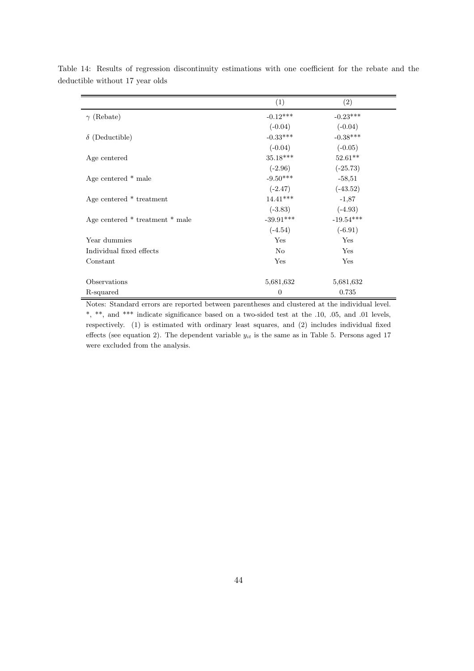|                                 | (1)              | (2)         |  |
|---------------------------------|------------------|-------------|--|
| $\gamma$ (Rebate)               | $-0.12***$       | $-0.23***$  |  |
|                                 | $(-0.04)$        | $(-0.04)$   |  |
| $\delta$ (Deductible)           | $-0.33***$       | $-0.38***$  |  |
|                                 | $(-0.04)$        | $(-0.05)$   |  |
| Age centered                    | $35.18***$       | $52.61**$   |  |
|                                 | $(-2.96)$        | $(-25.73)$  |  |
| Age centered $*$ male           | $-9.50***$       | $-58,51$    |  |
|                                 | $(-2.47)$        | $(-43.52)$  |  |
| Age centered * treatment        | $14.41***$       | $-1,87$     |  |
|                                 | $(-3.83)$        | $(-4.93)$   |  |
| Age centered * treatment * male | $-39.91***$      | $-19.54***$ |  |
|                                 | $(-4.54)$        | $(-6.91)$   |  |
| Year dummies                    | Yes              | Yes         |  |
| Individual fixed effects        | No               | Yes         |  |
| Constant                        | Yes              | Yes         |  |
|                                 |                  |             |  |
| Observations                    | 5,681,632        | 5,681,632   |  |
| R-squared                       | $\boldsymbol{0}$ | 0.735       |  |

Table 14: Results of regression discontinuity estimations with one coefficient for the rebate and the deductible without 17 year olds

Notes: Standard errors are reported between parentheses and clustered at the individual level. \*, \*\*, and \*\*\* indicate significance based on a two-sided test at the .10, .05, and .01 levels, respectively. (1) is estimated with ordinary least squares, and (2) includes individual fixed effects (see equation 2). The dependent variable  $y_{it}$  is the same as in Table 5. Persons aged 17 were excluded from the analysis.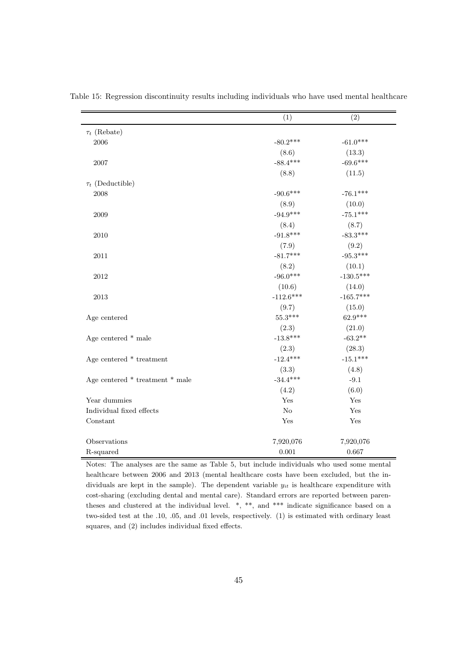|                                 | (1)         | (2)                  |
|---------------------------------|-------------|----------------------|
| $\tau_t$ (Rebate)               |             |                      |
| 2006                            | $-80.2***$  | $-61.0***$           |
|                                 | (8.6)       | (13.3)               |
| 2007                            | $-88.4***$  | $-69.6***$           |
|                                 | (8.8)       | (11.5)               |
| $\tau_t$ (Deductible)           |             |                      |
| 2008                            | $-90.6***$  | $-76.1***$           |
|                                 | (8.9)       | (10.0)               |
| 2009                            | $-94.9***$  | $-75.1***$           |
|                                 | (8.4)       | (8.7)                |
| 2010                            | $-91.8***$  | $-83.3***$           |
|                                 | (7.9)       | (9.2)                |
| 2011                            | $-81.7***$  | $-95.3***$           |
|                                 | (8.2)       | (10.1)               |
| $\>2012$                        | $-96.0***$  | $-130.5***$          |
|                                 | (10.6)      | (14.0)               |
| 2013                            | $-112.6***$ | $-165.7***$          |
|                                 | (9.7)       | (15.0)               |
| Age centered                    | $55.3***$   | 62.9***              |
|                                 | (2.3)       | (21.0)               |
| Age centered * male             | $-13.8***$  | $-63.2**$            |
|                                 | (2.3)       | (28.3)               |
| Age centered * treatment        | $-12.4***$  | $-15.1***$           |
|                                 | (3.3)       | (4.8)                |
| Age centered * treatment * male | $-34.4***$  | $-9.1$               |
|                                 | (4.2)       | (6.0)                |
| Year dummies                    | Yes         | Yes                  |
| Individual fixed effects        | $\rm No$    | $\operatorname{Yes}$ |
| Constant                        | Yes         | Yes                  |
| Observations                    | 7,920,076   | 7,920,076            |
| R-squared                       | 0.001       | 0.667                |

Table 15: Regression discontinuity results including individuals who have used mental healthcare

Notes: The analyses are the same as Table 5, but include individuals who used some mental healthcare between 2006 and 2013 (mental healthcare costs have been excluded, but the individuals are kept in the sample). The dependent variable  $y_{it}$  is healthcare expenditure with cost-sharing (excluding dental and mental care). Standard errors are reported between parentheses and clustered at the individual level. \*, \*\*, and \*\*\* indicate significance based on a two-sided test at the .10, .05, and .01 levels, respectively. (1) is estimated with ordinary least squares, and (2) includes individual fixed effects.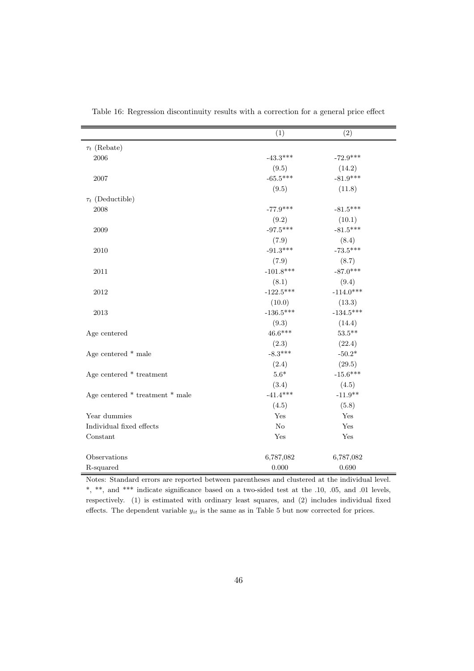|                                 | (1)                  | (2)                  |
|---------------------------------|----------------------|----------------------|
| $\tau_t$ (Rebate)               |                      |                      |
| 2006                            | $-43.3***$           | $-72.9***$           |
|                                 | (9.5)                | (14.2)               |
| $2007\,$                        | $-65.5***$           | $-81.9***$           |
|                                 | (9.5)                | (11.8)               |
| $\tau_t$ (Deductible)           |                      |                      |
| 2008                            | $-77.9***$           | $-81.5***$           |
|                                 | (9.2)                | (10.1)               |
| 2009                            | $-97.5***$           | $-81.5***$           |
|                                 | (7.9)                | (8.4)                |
| 2010                            | $-91.3***$           | $-73.5***$           |
|                                 | (7.9)                | (8.7)                |
| 2011                            | $-101.8***$          | $-87.0***$           |
|                                 | (8.1)                | (9.4)                |
| 2012                            | $-122.5***$          | $-114.0***$          |
|                                 | (10.0)               | (13.3)               |
| 2013                            | $-136.5***$          | $-134.5***$          |
|                                 | (9.3)                | (14.4)               |
| Age centered                    | $46.6***$            | $53.5***$            |
|                                 | (2.3)                | (22.4)               |
| Age centered * male             | $-8.3***$            | $-50.2*$             |
|                                 | (2.4)                | (29.5)               |
| Age centered $*$ treatment      | $5.6^{\ast}$         | $-15.6***$           |
|                                 | (3.4)                | (4.5)                |
| Age centered * treatment * male | $-41.4***$           | $-11.9**$            |
|                                 | (4.5)                | (5.8)                |
| Year dummies                    | Yes                  | Yes                  |
| Individual fixed effects        | $\rm No$             | Yes                  |
| Constant                        | $\operatorname{Yes}$ | $\operatorname{Yes}$ |
| Observations                    | 6,787,082            | 6,787,082            |
| R-squared                       | 0.000                | 0.690                |

Table 16: Regression discontinuity results with a correction for a general price effect

Notes: Standard errors are reported between parentheses and clustered at the individual level. \*, \*\*, and \*\*\* indicate significance based on a two-sided test at the .10, .05, and .01 levels, respectively. (1) is estimated with ordinary least squares, and (2) includes individual fixed effects. The dependent variable  $y_{it}$  is the same as in Table 5 but now corrected for prices.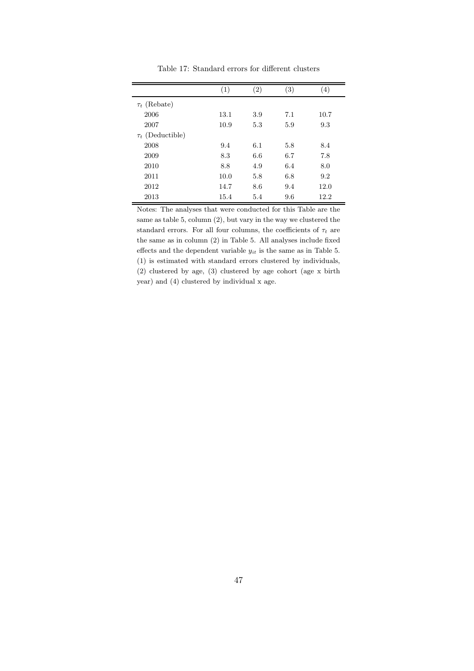|                       | (1)  | (2) | (3) | $\left(4\right)$ |
|-----------------------|------|-----|-----|------------------|
| $\tau_t$ (Rebate)     |      |     |     |                  |
| 2006                  | 13.1 | 3.9 | 7.1 | 10.7             |
| 2007                  | 10.9 | 5.3 | 5.9 | 9.3              |
| $\tau_t$ (Deductible) |      |     |     |                  |
| 2008                  | 9.4  | 6.1 | 5.8 | 8.4              |
| 2009                  | 8.3  | 6.6 | 6.7 | 7.8              |
| 2010                  | 8.8  | 4.9 | 6.4 | 8.0              |
| 2011                  | 10.0 | 5.8 | 6.8 | 9.2              |
| 2012                  | 14.7 | 8.6 | 9.4 | 12.0             |
| 2013                  | 15.4 | 5.4 | 9.6 | 12.2             |

Table 17: Standard errors for different clusters

Notes: The analyses that were conducted for this Table are the same as table 5, column (2), but vary in the way we clustered the standard errors. For all four columns, the coefficients of  $\tau_t$  are the same as in column (2) in Table 5. All analyses include fixed effects and the dependent variable  $y_{it}$  is the same as in Table 5. (1) is estimated with standard errors clustered by individuals, (2) clustered by age, (3) clustered by age cohort (age x birth year) and (4) clustered by individual x age.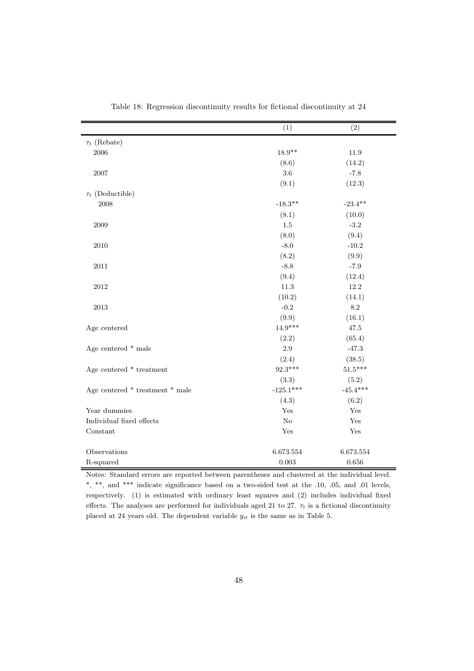|                                 | $\overline{(1)}$     | $\overline{(2)}$ |
|---------------------------------|----------------------|------------------|
| $\tau_t$ (Rebate)               |                      |                  |
| 2006                            | $18.9**$             | 11.9             |
|                                 | (8.6)                | (14.2)           |
| $2007\,$                        | $3.6\,$              | $-7.8$           |
|                                 | (9.1)                | (12.3)           |
| $\tau_t$ (Deductible)           |                      |                  |
| 2008                            | $-18.3**$            | $-23.4***$       |
|                                 | (8.1)                | (10.0)           |
| $\,2009\,$                      | $1.5\,$              | $-3.2$           |
|                                 | (8.0)                | (9.4)            |
| 2010                            | $-8.0$               | $-10.2$          |
|                                 | (8.2)                | (9.9)            |
| 2011                            | $-8.8$               | $-7.9$           |
|                                 | (9.4)                | (12.4)           |
| $\>2012$                        | $11.3\,$             | 12.2             |
|                                 | (10.2)               | (14.1)           |
| $\,2013$                        | $-0.2$               | 8.2              |
|                                 | (9.9)                | (16.1)           |
| Age centered                    | $14.9***$            | $47.5\,$         |
|                                 | (2.2)                | (65.4)           |
| Age centered $*$ male           | $2.9\,$              | $-47.3$          |
|                                 | (2.4)                | (38.5)           |
| Age centered * treatment        | $92.3***$            | $51.5***$        |
|                                 | (3.3)                | (5.2)            |
| Age centered * treatment * male | $-125.1***$          | $-45.4***$       |
|                                 | (4.3)                | (6.2)            |
| Year dummies                    | $\operatorname{Yes}$ | ${\rm Yes}$      |
| Individual fixed effects        | $\rm No$             | Yes              |
| Constant                        | Yes                  | Yes              |
| Observations                    | 6.673.554            | 6.673.554        |
| R-squared                       | 0.003                | 0.656            |

Table 18: Regression discontinuity results for fictional discontinuity at 24

Notes: Standard errors are reported between parentheses and clustered at the individual level. \*, \*\*, and \*\*\* indicate significance based on a two-sided test at the .10, .05, and .01 levels, respectively. (1) is estimated with ordinary least squares and (2) includes individual fixed effects. The analyses are performed for individuals aged 21 to 27.  $\tau_t$  is a fictional discontinuity placed at 24 years old. The dependent variable  $y_{it}$  is the same as in Table 5.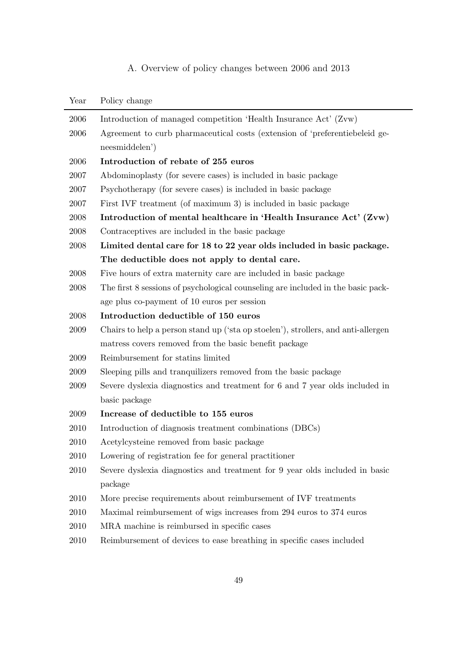# A. Overview of policy changes between 2006 and 2013

Year Policy change  $\overline{a}$ 

| 2006 | Introduction of managed competition 'Health Insurance Act' (Zvw)                  |
|------|-----------------------------------------------------------------------------------|
| 2006 | Agreement to curb pharmaceutical costs (extension of 'preferentiebeleid ge-       |
|      | neesmiddelen')                                                                    |
| 2006 | Introduction of rebate of 255 euros                                               |
| 2007 | Abdominoplasty (for severe cases) is included in basic package                    |
| 2007 | Psychotherapy (for severe cases) is included in basic package                     |
| 2007 | First IVF treatment (of maximum 3) is included in basic package                   |
| 2008 | Introduction of mental healthcare in 'Health Insurance Act' (Zvw)                 |
| 2008 | Contraceptives are included in the basic package                                  |
| 2008 | Limited dental care for 18 to 22 year olds included in basic package.             |
|      | The deductible does not apply to dental care.                                     |
| 2008 | Five hours of extra maternity care are included in basic package                  |
| 2008 | The first 8 sessions of psychological counseling are included in the basic pack-  |
|      | age plus co-payment of 10 euros per session                                       |
| 2008 | Introduction deductible of 150 euros                                              |
| 2009 | Chairs to help a person stand up ('sta op stoelen'), strollers, and anti-allergen |
|      | matress covers removed from the basic benefit package                             |
| 2009 | Reimbursement for statins limited                                                 |
| 2009 | Sleeping pills and tranquilizers removed from the basic package                   |
| 2009 | Severe dyslexia diagnostics and treatment for 6 and 7 year olds included in       |
|      | basic package                                                                     |
| 2009 | Increase of deductible to 155 euros                                               |
| 2010 | Introduction of diagnosis treatment combinations (DBCs)                           |
| 2010 | Acetylcysteine removed from basic package                                         |
| 2010 | Lowering of registration fee for general practitioner                             |
| 2010 | Severe dyslexia diagnostics and treatment for 9 year olds included in basic       |
|      | package                                                                           |
| 2010 | More precise requirements about reimbursement of IVF treatments                   |
| 2010 | Maximal reimbursement of wigs increases from 294 euros to 374 euros               |
| 2010 | MRA machine is reimbursed in specific cases                                       |
| 2010 | Reimbursement of devices to ease breathing in specific cases included             |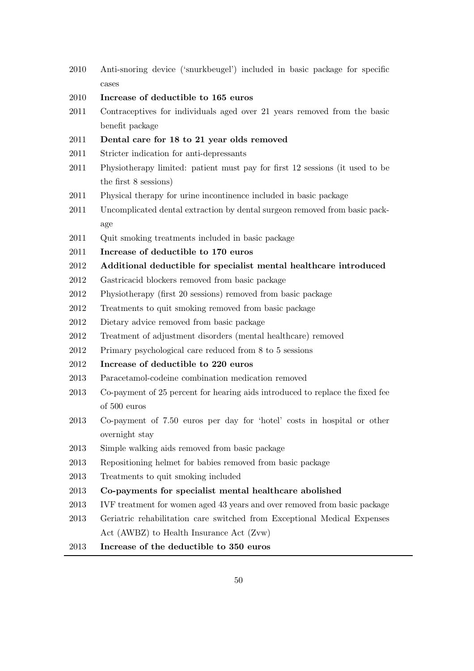- 2010 Anti-snoring device ('snurkbeugel') included in basic package for specific cases
- 2010 Increase of deductible to 165 euros
- 2011 Contraceptives for individuals aged over 21 years removed from the basic benefit package
- 2011 Dental care for 18 to 21 year olds removed
- 2011 Stricter indication for anti-depressants
- 2011 Physiotherapy limited: patient must pay for first 12 sessions (it used to be the first 8 sessions)
- 2011 Physical therapy for urine incontinence included in basic package
- 2011 Uncomplicated dental extraction by dental surgeon removed from basic package
- 2011 Quit smoking treatments included in basic package
- 2011 Increase of deductible to 170 euros
- 2012 Additional deductible for specialist mental healthcare introduced
- 2012 Gastricacid blockers removed from basic package
- 2012 Physiotherapy (first 20 sessions) removed from basic package
- 2012 Treatments to quit smoking removed from basic package
- 2012 Dietary advice removed from basic package
- 2012 Treatment of adjustment disorders (mental healthcare) removed
- 2012 Primary psychological care reduced from 8 to 5 sessions
- 2012 Increase of deductible to 220 euros
- 2013 Paracetamol-codeine combination medication removed
- 2013 Co-payment of 25 percent for hearing aids introduced to replace the fixed fee of 500 euros
- 2013 Co-payment of 7.50 euros per day for 'hotel' costs in hospital or other overnight stay
- 2013 Simple walking aids removed from basic package
- 2013 Repositioning helmet for babies removed from basic package
- 2013 Treatments to quit smoking included
- 2013 Co-payments for specialist mental healthcare abolished
- 2013 IVF treatment for women aged 43 years and over removed from basic package
- 2013 Geriatric rehabilitation care switched from Exceptional Medical Expenses Act (AWBZ) to Health Insurance Act (Zvw)
- 2013 Increase of the deductible to 350 euros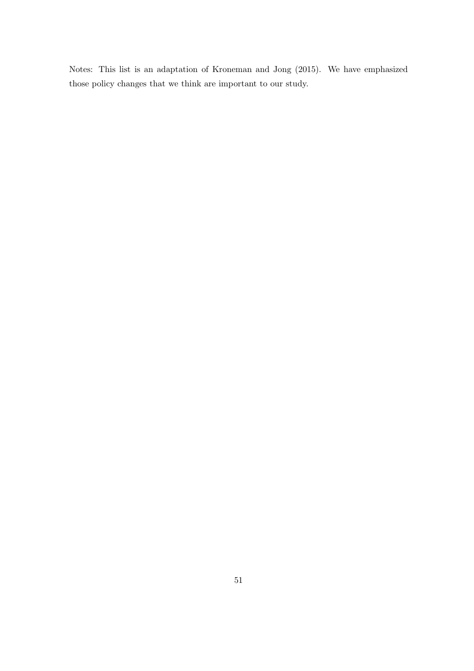Notes: This list is an adaptation of Kroneman and Jong (2015). We have emphasized those policy changes that we think are important to our study.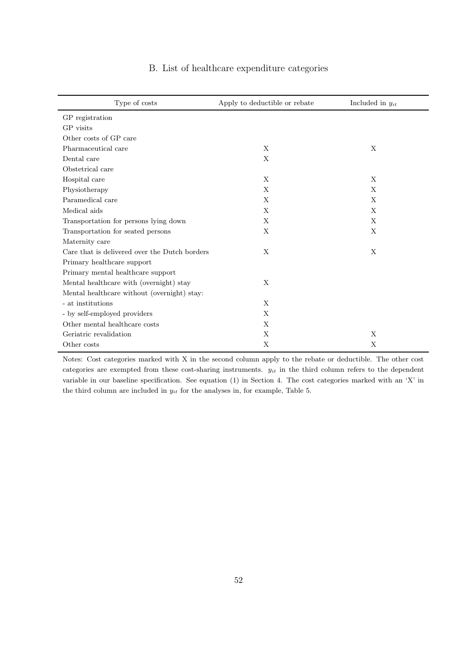| Type of costs                                 | Apply to deductible or rebate | Included in $y_{it}$ |
|-----------------------------------------------|-------------------------------|----------------------|
| GP registration                               |                               |                      |
| GP visits                                     |                               |                      |
| Other costs of GP care                        |                               |                      |
| Pharmaceutical care                           | X                             | X                    |
| Dental care                                   | X                             |                      |
| Obstetrical care                              |                               |                      |
| Hospital care                                 | X                             | X                    |
| Physiotherapy                                 | X                             | X                    |
| Paramedical care                              | X                             | X                    |
| Medical aids                                  | X                             | X                    |
| Transportation for persons lying down         | X                             | X                    |
| Transportation for seated persons             | X                             | X                    |
| Maternity care                                |                               |                      |
| Care that is delivered over the Dutch borders | X                             | X                    |
| Primary healthcare support                    |                               |                      |
| Primary mental healthcare support             |                               |                      |
| Mental healthcare with (overnight) stay       | $\mathbf X$                   |                      |
| Mental healthcare without (overnight) stay:   |                               |                      |
| - at institutions                             | X                             |                      |
| - by self-employed providers                  | X                             |                      |
| Other mental healthcare costs                 | X                             |                      |
| Geriatric revalidation                        | $\mathbf X$                   | X                    |
| Other costs                                   | X                             | Χ                    |

## B. List of healthcare expenditure categories

Notes: Cost categories marked with X in the second column apply to the rebate or deductible. The other cost categories are exempted from these cost-sharing instruments.  $y_{it}$  in the third column refers to the dependent variable in our baseline specification. See equation (1) in Section 4. The cost categories marked with an 'X' in the third column are included in  $y_{it}$  for the analyses in, for example, Table 5.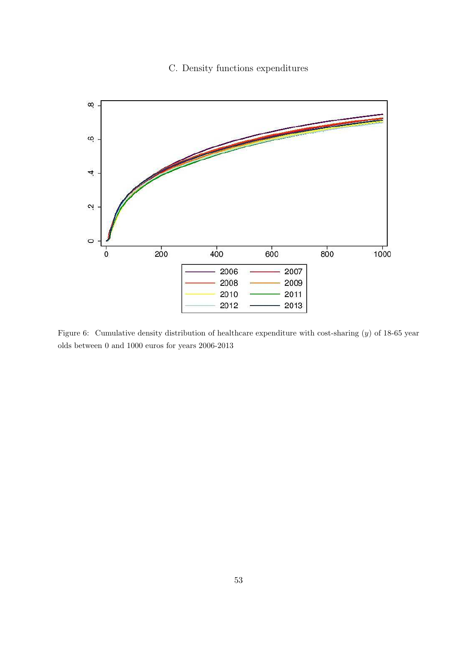# C. Density functions expenditures



Figure 6: Cumulative density distribution of healthcare expenditure with cost-sharing (y) of 18-65 year olds between 0 and 1000 euros for years 2006-2013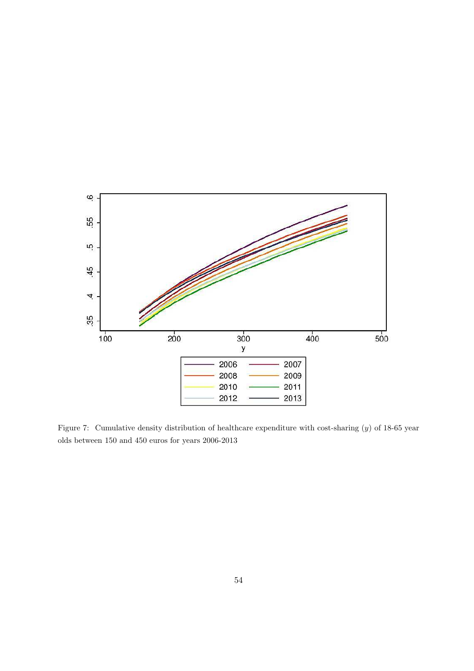

Figure 7: Cumulative density distribution of healthcare expenditure with cost-sharing (y) of 18-65 year olds between 150 and 450 euros for years 2006-2013